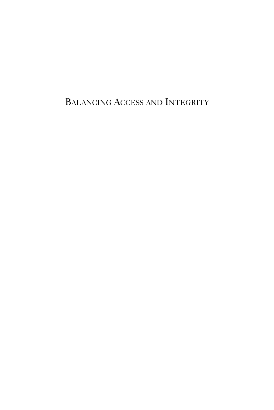BALANCING ACCESS AND INTEGRITY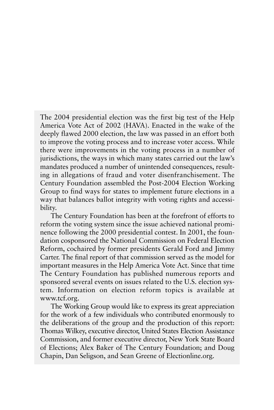The 2004 presidential election was the first big test of the Help America Vote Act of 2002 (HAVA). Enacted in the wake of the deeply flawed 2000 election, the law was passed in an effort both to improve the voting process and to increase voter access. While there were improvements in the voting process in a number of jurisdictions, the ways in which many states carried out the law's mandates produced a number of unintended consequences, resulting in allegations of fraud and voter disenfranchisement. The Century Foundation assembled the Post-2004 Election Working Group to find ways for states to implement future elections in a way that balances ballot integrity with voting rights and accessibility.

The Century Foundation has been at the forefront of efforts to reform the voting system since the issue achieved national prominence following the 2000 presidential contest. In 2001, the foundation cosponsored the National Commission on Federal Election Reform, cochaired by former presidents Gerald Ford and Jimmy Carter. The final report of that commission served as the model for important measures in the Help America Vote Act. Since that time The Century Foundation has published numerous reports and sponsored several events on issues related to the U.S. election system. Information on election reform topics is available at www.tcf.org.

The Working Group would like to express its great appreciation for the work of a few individuals who contributed enormously to the deliberations of the group and the production of this report: Thomas Wilkey, executive director, United States Election Assistance Commission, and former executive director, New York State Board of Elections; Alex Baker of The Century Foundation; and Doug Chapin, Dan Seligson, and Sean Greene of Electionline.org.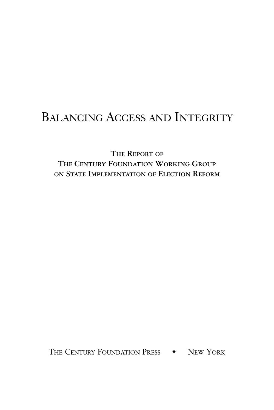# BALANCING ACCESS AND INTEGRITY

**THE REPORT OF THE CENTURY FOUNDATION WORKING GROUP ON STATE IMPLEMENTATION OF ELECTION REFORM**

THE CENTURY FOUNDATION PRESS  $\rightarrow$  New York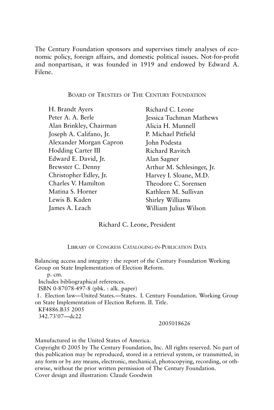The Century Foundation sponsors and supervises timely analyses of economic policy, foreign affairs, and domestic political issues. Not-for-profit and nonpartisan, it was founded in 1919 and endowed by Edward A. Filene.

#### BOARD OF TRUSTEES OF THE CENTURY FOUNDATION

H. Brandt Ayers Peter A. A. Berle Alan Brinkley, Chairman Joseph A. Califano, Jr. Alexander Morgan Capron Hodding Carter III Edward E. David, Jr. Brewster C. Denny Christopher Edley, Jr. Charles V. Hamilton Matina S. Horner Lewis B. Kaden James A. Leach

Richard C. Leone Jessica Tuchman Mathews Alicia H. Munnell P. Michael Pitfield John Podesta Richard Ravitch Alan Sagner Arthur M. Schlesinger, Jr. Harvey I. Sloane, M.D. Theodore C. Sorensen Kathleen M. Sullivan Shirley Williams William Julius Wilson

#### Richard C. Leone, President

LIBRARY OF CONGRESS CATALOGING-IN-PUBLICATION DATA

Balancing access and integrity : the report of the Century Foundation Working Group on State Implementation of Election Reform.

p. cm.

Includes bibliographical references.

ISBN 0-87078-497-8 (pbk. : alk. paper)

1. Election law—United States.—States. I. Century Foundation. Working Group on State Implementation of Election Reform. II. Title.

KF4886.B35 2005

342.73'07—dc22

#### 2005018626

Manufactured in the United States of America.

Copyright © 2005 by The Century Foundation, Inc. All rights reserved. No part of this publication may be reproduced, stored in a retrieval system, or transmitted, in any form or by any means, electronic, mechanical, photocopying, recording, or otherwise, without the prior written permission of The Century Foundation. Cover design and illustration: Claude Goodwin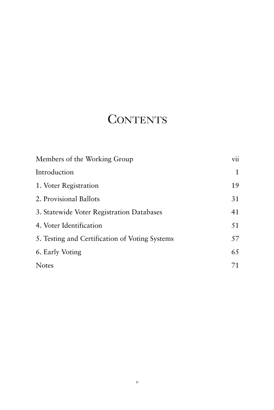# **CONTENTS**

| Members of the Working Group                   | vii |
|------------------------------------------------|-----|
| Introduction                                   | 1   |
| 1. Voter Registration                          | 19  |
| 2. Provisional Ballots                         | 31  |
| 3. Statewide Voter Registration Databases      | 41  |
| 4. Voter Identification                        | 51  |
| 5. Testing and Certification of Voting Systems | 57  |
| 6. Early Voting                                | 65  |
| <b>Notes</b>                                   | 71  |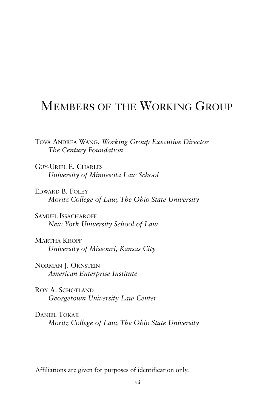## MEMBERS OF THE WORKING GROUP

TOVA ANDREA WANG, *Working Group Executive Director The Century Foundation*

GUY-URIEL E. CHARLES *University of Minnesota Law School*

EDWARD B. FOLEY *Moritz College of Law, The Ohio State University*

SAMUEL ISSACHAROFF *New York University School of Law*

MARTHA KROPF *University of Missouri, Kansas City*

NORMAN J. ORNSTEIN *American Enterprise Institute*

ROY A. SCHOTLAND *Georgetown University Law Center*

DANIEL TOKAII *Moritz College of Law, The Ohio State University* 

Affiliations are given for purposes of identification only.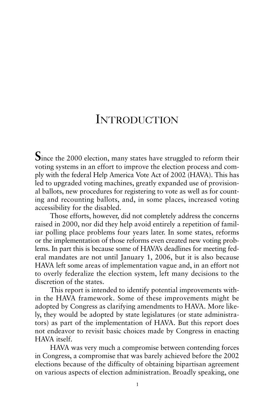## INTRODUCTION

Since the 2000 election, many states have struggled to reform their voting systems in an effort to improve the election process and comply with the federal Help America Vote Act of 2002 (HAVA). This has led to upgraded voting machines, greatly expanded use of provisional ballots, new procedures for registering to vote as well as for counting and recounting ballots, and, in some places, increased voting accessibility for the disabled.

Those efforts, however, did not completely address the concerns raised in 2000, nor did they help avoid entirely a repetition of familiar polling place problems four years later. In some states, reforms or the implementation of those reforms even created new voting problems. In part this is because some of HAVA's deadlines for meeting federal mandates are not until January 1, 2006, but it is also because HAVA left some areas of implementation vague and, in an effort not to overly federalize the election system, left many decisions to the discretion of the states.

This report is intended to identify potential improvements within the HAVA framework. Some of these improvements might be adopted by Congress as clarifying amendments to HAVA. More likely, they would be adopted by state legislatures (or state administrators) as part of the implementation of HAVA. But this report does not endeavor to revisit basic choices made by Congress in enacting HAVA itself.

HAVA was very much a compromise between contending forces in Congress, a compromise that was barely achieved before the 2002 elections because of the difficulty of obtaining bipartisan agreement on various aspects of election administration. Broadly speaking, one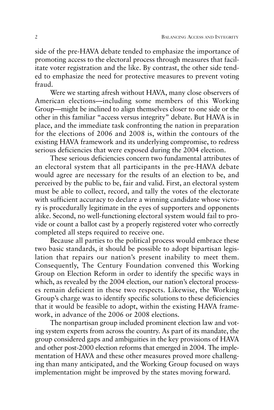side of the pre-HAVA debate tended to emphasize the importance of promoting access to the electoral process through measures that facilitate voter registration and the like. By contrast, the other side tended to emphasize the need for protective measures to prevent voting fraud.

Were we starting afresh without HAVA, many close observers of American elections—including some members of this Working Group—might be inclined to align themselves closer to one side or the other in this familiar "access versus integrity" debate. But HAVA is in place, and the immediate task confronting the nation in preparation for the elections of 2006 and 2008 is, within the contours of the existing HAVA framework and its underlying compromise, to redress serious deficiencies that were exposed during the 2004 election.

These serious deficiencies concern two fundamental attributes of an electoral system that all participants in the pre-HAVA debate would agree are necessary for the results of an election to be, and perceived by the public to be, fair and valid. First, an electoral system must be able to collect, record, and tally the votes of the electorate with sufficient accuracy to declare a winning candidate whose victory is procedurally legitimate in the eyes of supporters and opponents alike. Second, no well-functioning electoral system would fail to provide or count a ballot cast by a properly registered voter who correctly completed all steps required to receive one.

Because all parties to the political process would embrace these two basic standards, it should be possible to adopt bipartisan legislation that repairs our nation's present inability to meet them. Consequently, The Century Foundation convened this Working Group on Election Reform in order to identify the specific ways in which, as revealed by the 2004 election, our nation's electoral processes remain deficient in these two respects. Likewise, the Working Group's charge was to identify specific solutions to these deficiencies that it would be feasible to adopt, within the existing HAVA framework, in advance of the 2006 or 2008 elections.

The nonpartisan group included prominent election law and voting system experts from across the country. As part of its mandate, the group considered gaps and ambiguities in the key provisions of HAVA and other post-2000 election reforms that emerged in 2004. The implementation of HAVA and these other measures proved more challenging than many anticipated, and the Working Group focused on ways implementation might be improved by the states moving forward.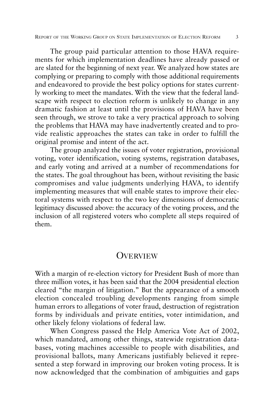The group paid particular attention to those HAVA requirements for which implementation deadlines have already passed or are slated for the beginning of next year. We analyzed how states are complying or preparing to comply with those additional requirements and endeavored to provide the best policy options for states currently working to meet the mandates. With the view that the federal landscape with respect to election reform is unlikely to change in any dramatic fashion at least until the provisions of HAVA have been seen through, we strove to take a very practical approach to solving the problems that HAVA may have inadvertently created and to provide realistic approaches the states can take in order to fulfill the original promise and intent of the act.

The group analyzed the issues of voter registration, provisional voting, voter identification, voting systems, registration databases, and early voting and arrived at a number of recommendations for the states. The goal throughout has been, without revisiting the basic compromises and value judgments underlying HAVA, to identify implementing measures that will enable states to improve their electoral systems with respect to the two key dimensions of democratic legitimacy discussed above: the accuracy of the voting process, and the inclusion of all registered voters who complete all steps required of them.

### **OVERVIEW**

With a margin of re-election victory for President Bush of more than three million votes, it has been said that the 2004 presidential election cleared "the margin of litigation." But the appearance of a smooth election concealed troubling developments ranging from simple human errors to allegations of voter fraud, destruction of registration forms by individuals and private entities, voter intimidation, and other likely felony violations of federal law.

When Congress passed the Help America Vote Act of 2002, which mandated, among other things, statewide registration databases, voting machines accessible to people with disabilities, and provisional ballots, many Americans justifiably believed it represented a step forward in improving our broken voting process. It is now acknowledged that the combination of ambiguities and gaps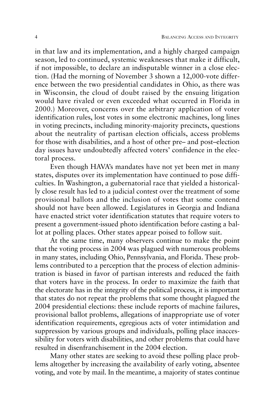in that law and its implementation, and a highly charged campaign season, led to continued, systemic weaknesses that make it difficult, if not impossible, to declare an indisputable winner in a close election. (Had the morning of November 3 shown a 12,000-vote difference between the two presidential candidates in Ohio, as there was in Wisconsin, the cloud of doubt raised by the ensuing litigation would have rivaled or even exceeded what occurred in Florida in 2000.) Moreover, concerns over the arbitrary application of voter identification rules, lost votes in some electronic machines, long lines in voting precincts, including minority-majority precincts, questions about the neutrality of partisan election officials, access problems for those with disabilities, and a host of other pre– and post–election day issues have undoubtedly affected voters' confidence in the electoral process.

Even though HAVA's mandates have not yet been met in many states, disputes over its implementation have continued to pose difficulties. In Washington, a gubernatorial race that yielded a historically close result has led to a judicial contest over the treatment of some provisional ballots and the inclusion of votes that some contend should not have been allowed. Legislatures in Georgia and Indiana have enacted strict voter identification statutes that require voters to present a government-issued photo identification before casting a ballot at polling places. Other states appear poised to follow suit.

At the same time, many observers continue to make the point that the voting process in 2004 was plagued with numerous problems in many states, including Ohio, Pennsylvania, and Florida. These problems contributed to a perception that the process of election administration is biased in favor of partisan interests and reduced the faith that voters have in the process. In order to maximize the faith that the electorate has in the integrity of the political process, it is important that states do not repeat the problems that some thought plagued the 2004 presidential elections: these include reports of machine failures, provisional ballot problems, allegations of inappropriate use of voter identification requirements, egregious acts of voter intimidation and suppression by various groups and individuals, polling place inaccessibility for voters with disabilities, and other problems that could have resulted in disenfranchisement in the 2004 election.

Many other states are seeking to avoid these polling place problems altogether by increasing the availability of early voting, absentee voting, and vote by mail. In the meantime, a majority of states continue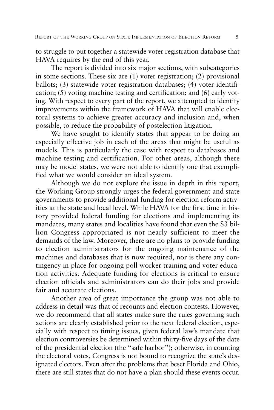to struggle to put together a statewide voter registration database that HAVA requires by the end of this year.

The report is divided into six major sections, with subcategories in some sections. These six are (1) voter registration; (2) provisional ballots; (3) statewide voter registration databases; (4) voter identification; (5) voting machine testing and certification; and (6) early voting. With respect to every part of the report, we attempted to identify improvements within the framework of HAVA that will enable electoral systems to achieve greater accuracy and inclusion and, when possible, to reduce the probability of postelection litigation.

We have sought to identify states that appear to be doing an especially effective job in each of the areas that might be useful as models. This is particularly the case with respect to databases and machine testing and certification. For other areas, although there may be model states, we were not able to identify one that exemplified what we would consider an ideal system.

Although we do not explore the issue in depth in this report, the Working Group strongly urges the federal government and state governments to provide additional funding for election reform activities at the state and local level. While HAVA for the first time in history provided federal funding for elections and implementing its mandates, many states and localities have found that even the \$3 billion Congress appropriated is not nearly sufficient to meet the demands of the law. Moreover, there are no plans to provide funding to election administrators for the ongoing maintenance of the machines and databases that is now required, nor is there any contingency in place for ongoing poll worker training and voter education activities. Adequate funding for elections is critical to ensure election officials and administrators can do their jobs and provide fair and accurate elections.

Another area of great importance the group was not able to address in detail was that of recounts and election contests. However, we do recommend that all states make sure the rules governing such actions are clearly established prior to the next federal election, especially with respect to timing issues, given federal law's mandate that election controversies be determined within thirty-five days of the date of the presidential election (the "safe harbor"); otherwise, in counting the electoral votes, Congress is not bound to recognize the state's designated electors. Even after the problems that beset Florida and Ohio, there are still states that do not have a plan should these events occur.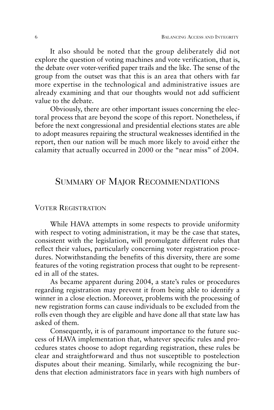It also should be noted that the group deliberately did not explore the question of voting machines and vote verification, that is, the debate over voter-verified paper trails and the like. The sense of the group from the outset was that this is an area that others with far more expertise in the technological and administrative issues are already examining and that our thoughts would not add sufficient value to the debate.

Obviously, there are other important issues concerning the electoral process that are beyond the scope of this report. Nonetheless, if before the next congressional and presidential elections states are able to adopt measures repairing the structural weaknesses identified in the report, then our nation will be much more likely to avoid either the calamity that actually occurred in 2000 or the "near miss" of 2004.

## SUMMARY OF MAJOR RECOMMENDATIONS

#### VOTER REGISTRATION

While HAVA attempts in some respects to provide uniformity with respect to voting administration, it may be the case that states, consistent with the legislation, will promulgate different rules that reflect their values, particularly concerning voter registration procedures. Notwithstanding the benefits of this diversity, there are some features of the voting registration process that ought to be represented in all of the states.

As became apparent during 2004, a state's rules or procedures regarding registration may prevent it from being able to identify a winner in a close election. Moreover, problems with the processing of new registration forms can cause individuals to be excluded from the rolls even though they are eligible and have done all that state law has asked of them.

Consequently, it is of paramount importance to the future success of HAVA implementation that, whatever specific rules and procedures states choose to adopt regarding registration, these rules be clear and straightforward and thus not susceptible to postelection disputes about their meaning. Similarly, while recognizing the burdens that election administrators face in years with high numbers of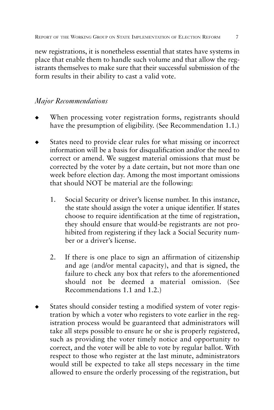new registrations, it is nonetheless essential that states have systems in place that enable them to handle such volume and that allow the registrants themselves to make sure that their successful submission of the form results in their ability to cast a valid vote.

## *Major Recommendations*

- When processing voter registration forms, registrants should have the presumption of eligibility. (See Recommendation 1.1.)
- States need to provide clear rules for what missing or incorrect information will be a basis for disqualification and/or the need to correct or amend. We suggest material omissions that must be corrected by the voter by a date certain, but not more than one week before election day. Among the most important omissions that should NOT be material are the following:
	- 1. Social Security or driver's license number. In this instance, the state should assign the voter a unique identifier. If states choose to require identification at the time of registration, they should ensure that would-be registrants are not prohibited from registering if they lack a Social Security number or a driver's license.
	- 2. If there is one place to sign an affirmation of citizenship and age (and/or mental capacity), and that is signed, the failure to check any box that refers to the aforementioned should not be deemed a material omission. (See Recommendations 1.1 and 1.2.)
- States should consider testing a modified system of voter registration by which a voter who registers to vote earlier in the registration process would be guaranteed that administrators will take all steps possible to ensure he or she is properly registered, such as providing the voter timely notice and opportunity to correct, and the voter will be able to vote by regular ballot. With respect to those who register at the last minute, administrators would still be expected to take all steps necessary in the time allowed to ensure the orderly processing of the registration, but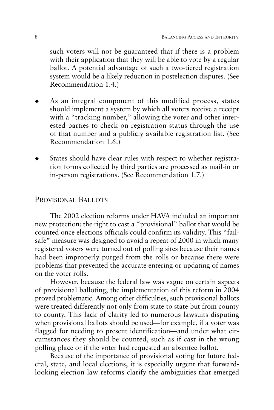such voters will not be guaranteed that if there is a problem with their application that they will be able to vote by a regular ballot. A potential advantage of such a two-tiered registration system would be a likely reduction in postelection disputes. (See Recommendation 1.4.)

- As an integral component of this modified process, states should implement a system by which all voters receive a receipt with a "tracking number," allowing the voter and other interested parties to check on registration status through the use of that number and a publicly available registration list. (See Recommendation 1.6.)
- States should have clear rules with respect to whether registration forms collected by third parties are processed as mail-in or in-person registrations. (See Recommendation 1.7.)

#### PROVISIONAL BALLOTS

The 2002 election reforms under HAVA included an important new protection: the right to cast a "provisional" ballot that would be counted once elections officials could confirm its validity. This "failsafe" measure was designed to avoid a repeat of 2000 in which many registered voters were turned out of polling sites because their names had been improperly purged from the rolls or because there were problems that prevented the accurate entering or updating of names on the voter rolls.

However, because the federal law was vague on certain aspects of provisional balloting, the implementation of this reform in 2004 proved problematic. Among other difficulties, such provisional ballots were treated differently not only from state to state but from county to county. This lack of clarity led to numerous lawsuits disputing when provisional ballots should be used—for example, if a voter was flagged for needing to present identification—and under what circumstances they should be counted, such as if cast in the wrong polling place or if the voter had requested an absentee ballot.

Because of the importance of provisional voting for future federal, state, and local elections, it is especially urgent that forwardlooking election law reforms clarify the ambiguities that emerged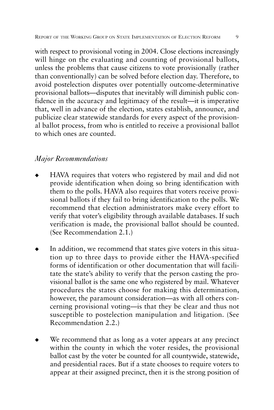with respect to provisional voting in 2004. Close elections increasingly will hinge on the evaluating and counting of provisional ballots, unless the problems that cause citizens to vote provisionally (rather than conventionally) can be solved before election day. Therefore, to avoid postelection disputes over potentially outcome-determinative provisional ballots—disputes that inevitably will diminish public confidence in the accuracy and legitimacy of the result—it is imperative that, well in advance of the election, states establish, announce, and publicize clear statewide standards for every aspect of the provisional ballot process, from who is entitled to receive a provisional ballot to which ones are counted.

### *Major Recommendations*

- HAVA requires that voters who registered by mail and did not provide identification when doing so bring identification with them to the polls. HAVA also requires that voters receive provisional ballots if they fail to bring identification to the polls. We recommend that election administrators make every effort to verify that voter's eligibility through available databases. If such verification is made, the provisional ballot should be counted. (See Recommendation 2.1.)
- In addition, we recommend that states give voters in this situation up to three days to provide either the HAVA-specified forms of identification or other documentation that will facilitate the state's ability to verify that the person casting the provisional ballot is the same one who registered by mail. Whatever procedures the states choose for making this determination, however, the paramount consideration—as with all others concerning provisional voting—is that they be clear and thus not susceptible to postelection manipulation and litigation. (See Recommendation 2.2.)
- We recommend that as long as a voter appears at any precinct within the county in which the voter resides, the provisional ballot cast by the voter be counted for all countywide, statewide, and presidential races. But if a state chooses to require voters to appear at their assigned precinct, then it is the strong position of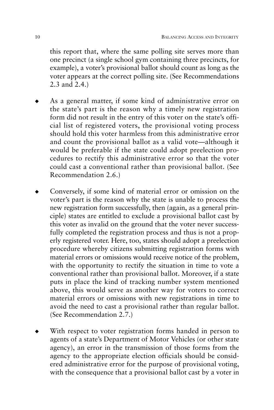this report that, where the same polling site serves more than one precinct (a single school gym containing three precincts, for example), a voter's provisional ballot should count as long as the voter appears at the correct polling site. (See Recommendations 2.3 and 2.4.)

- As a general matter, if some kind of administrative error on the state's part is the reason why a timely new registration form did not result in the entry of this voter on the state's official list of registered voters, the provisional voting process should hold this voter harmless from this administrative error and count the provisional ballot as a valid vote—although it would be preferable if the state could adopt preelection procedures to rectify this administrative error so that the voter could cast a conventional rather than provisional ballot. (See Recommendation 2.6.)
- Conversely, if some kind of material error or omission on the voter's part is the reason why the state is unable to process the new registration form successfully, then (again, as a general principle) states are entitled to exclude a provisional ballot cast by this voter as invalid on the ground that the voter never successfully completed the registration process and thus is not a properly registered voter. Here, too, states should adopt a preelection procedure whereby citizens submitting registration forms with material errors or omissions would receive notice of the problem, with the opportunity to rectify the situation in time to vote a conventional rather than provisional ballot. Moreover, if a state puts in place the kind of tracking number system mentioned above, this would serve as another way for voters to correct material errors or omissions with new registrations in time to avoid the need to cast a provisional rather than regular ballot. (See Recommendation 2.7.)
- With respect to voter registration forms handed in person to agents of a state's Department of Motor Vehicles (or other state agency), an error in the transmission of those forms from the agency to the appropriate election officials should be considered administrative error for the purpose of provisional voting, with the consequence that a provisional ballot cast by a voter in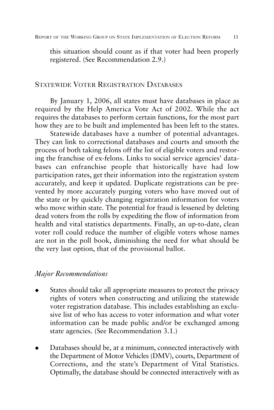this situation should count as if that voter had been properly registered. (See Recommendation 2.9.)

## STATEWIDE VOTER REGISTRATION DATABASES

By January 1, 2006, all states must have databases in place as required by the Help America Vote Act of 2002. While the act requires the databases to perform certain functions, for the most part how they are to be built and implemented has been left to the states.

Statewide databases have a number of potential advantages. They can link to correctional databases and courts and smooth the process of both taking felons off the list of eligible voters and restoring the franchise of ex-felons. Links to social service agencies' databases can enfranchise people that historically have had low participation rates, get their information into the registration system accurately, and keep it updated. Duplicate registrations can be prevented by more accurately purging voters who have moved out of the state or by quickly changing registration information for voters who move within state. The potential for fraud is lessened by deleting dead voters from the rolls by expediting the flow of information from health and vital statistics departments. Finally, an up-to-date, clean voter roll could reduce the number of eligible voters whose names are not in the poll book, diminishing the need for what should be the very last option, that of the provisional ballot.

#### *Major Recommendations*

- States should take all appropriate measures to protect the privacy rights of voters when constructing and utilizing the statewide voter registration database. This includes establishing an exclusive list of who has access to voter information and what voter information can be made public and/or be exchanged among state agencies. (See Recommendation 3.1.)
- Databases should be, at a minimum, connected interactively with the Department of Motor Vehicles (DMV), courts, Department of Corrections, and the state's Department of Vital Statistics. Optimally, the database should be connected interactively with as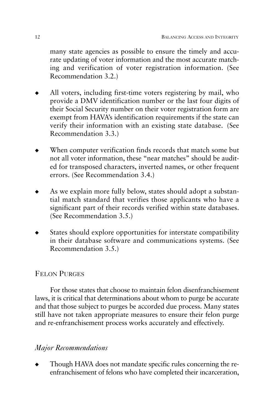many state agencies as possible to ensure the timely and accurate updating of voter information and the most accurate matching and verification of voter registration information. (See Recommendation 3.2.)

- All voters, including first-time voters registering by mail, who provide a DMV identification number or the last four digits of their Social Security number on their voter registration form are exempt from HAVA's identification requirements if the state can verify their information with an existing state database. (See Recommendation 3.3.)
- When computer verification finds records that match some but not all voter information, these "near matches" should be audited for transposed characters, inverted names, or other frequent errors. (See Recommendation 3.4.)
- As we explain more fully below, states should adopt a substantial match standard that verifies those applicants who have a significant part of their records verified within state databases. (See Recommendation 3.5.)
- States should explore opportunities for interstate compatibility in their database software and communications systems. (See Recommendation 3.5.)

### FELON PURGES

For those states that choose to maintain felon disenfranchisement laws, it is critical that determinations about whom to purge be accurate and that those subject to purges be accorded due process. Many states still have not taken appropriate measures to ensure their felon purge and re-enfranchisement process works accurately and effectively.

## *Major Recommendations*

Though HAVA does not mandate specific rules concerning the reenfranchisement of felons who have completed their incarceration,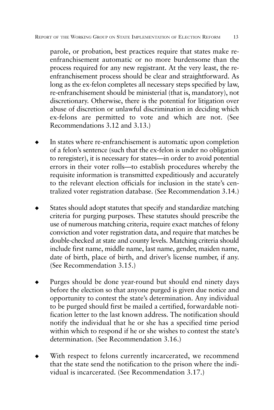parole, or probation, best practices require that states make reenfranchisement automatic or no more burdensome than the process required for any new registrant. At the very least, the reenfranchisement process should be clear and straightforward. As long as the ex-felon completes all necessary steps specified by law, re-enfranchisement should be ministerial (that is, mandatory), not discretionary. Otherwise, there is the potential for litigation over abuse of discretion or unlawful discrimination in deciding which ex-felons are permitted to vote and which are not. (See Recommendations 3.12 and 3.13.)

- In states where re-enfranchisement is automatic upon completion of a felon's sentence (such that the ex-felon is under no obligation to reregister), it is necessary for states—in order to avoid potential errors in their voter rolls—to establish procedures whereby the requisite information is transmitted expeditiously and accurately to the relevant election officials for inclusion in the state's centralized voter registration database. (See Recommendation 3.14.)
- States should adopt statutes that specify and standardize matching criteria for purging purposes. These statutes should prescribe the use of numerous matching criteria, require exact matches of felony conviction and voter registration data, and require that matches be double-checked at state and county levels. Matching criteria should include first name, middle name, last name, gender, maiden name, date of birth, place of birth, and driver's license number, if any. (See Recommendation 3.15.)
- Purges should be done year-round but should end ninety days before the election so that anyone purged is given due notice and opportunity to contest the state's determination. Any individual to be purged should first be mailed a certified, forwardable notification letter to the last known address. The notification should notify the individual that he or she has a specified time period within which to respond if he or she wishes to contest the state's determination. (See Recommendation 3.16.)
- With respect to felons currently incarcerated, we recommend that the state send the notification to the prison where the individual is incarcerated. (See Recommendation 3.17.)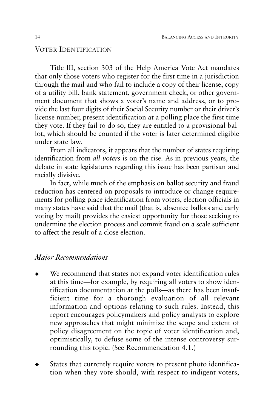#### VOTER IDENTIFICATION

Title III, section 303 of the Help America Vote Act mandates that only those voters who register for the first time in a jurisdiction through the mail and who fail to include a copy of their license, copy of a utility bill, bank statement, government check, or other government document that shows a voter's name and address, or to provide the last four digits of their Social Security number or their driver's license number, present identification at a polling place the first time they vote. If they fail to do so, they are entitled to a provisional ballot, which should be counted if the voter is later determined eligible under state law.

From all indicators, it appears that the number of states requiring identification from *all voters* is on the rise. As in previous years, the debate in state legislatures regarding this issue has been partisan and racially divisive.

In fact, while much of the emphasis on ballot security and fraud reduction has centered on proposals to introduce or change requirements for polling place identification from voters, election officials in many states have said that the mail (that is, absentee ballots and early voting by mail) provides the easiest opportunity for those seeking to undermine the election process and commit fraud on a scale sufficient to affect the result of a close election.

#### *Major Recommendations*

- We recommend that states not expand voter identification rules at this time—for example, by requiring all voters to show identification documentation at the polls—as there has been insufficient time for a thorough evaluation of all relevant information and options relating to such rules. Instead, this report encourages policymakers and policy analysts to explore new approaches that might minimize the scope and extent of policy disagreement on the topic of voter identification and, optimistically, to defuse some of the intense controversy surrounding this topic. (See Recommendation 4.1.)
- States that currently require voters to present photo identification when they vote should, with respect to indigent voters,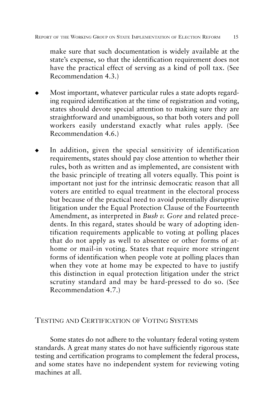make sure that such documentation is widely available at the state's expense, so that the identification requirement does not have the practical effect of serving as a kind of poll tax. (See Recommendation 4.3.)

- Most important, whatever particular rules a state adopts regarding required identification at the time of registration and voting, states should devote special attention to making sure they are straightforward and unambiguous, so that both voters and poll workers easily understand exactly what rules apply. (See Recommendation 4.6.)
- In addition, given the special sensitivity of identification requirements, states should pay close attention to whether their rules, both as written and as implemented, are consistent with the basic principle of treating all voters equally. This point is important not just for the intrinsic democratic reason that all voters are entitled to equal treatment in the electoral process but because of the practical need to avoid potentially disruptive litigation under the Equal Protection Clause of the Fourteenth Amendment, as interpreted in *Bush v. Gore* and related precedents. In this regard, states should be wary of adopting identification requirements applicable to voting at polling places that do not apply as well to absentee or other forms of athome or mail-in voting. States that require more stringent forms of identification when people vote at polling places than when they vote at home may be expected to have to justify this distinction in equal protection litigation under the strict scrutiny standard and may be hard-pressed to do so. (See Recommendation 4.7.)

#### TESTING AND CERTIFICATION OF VOTING SYSTEMS

Some states do not adhere to the voluntary federal voting system standards. A great many states do not have sufficiently rigorous state testing and certification programs to complement the federal process, and some states have no independent system for reviewing voting machines at all.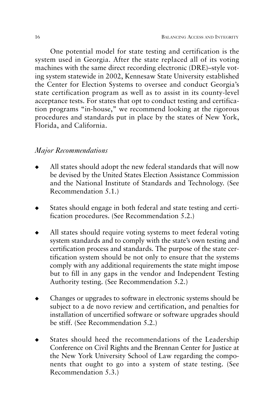One potential model for state testing and certification is the system used in Georgia. After the state replaced all of its voting machines with the same direct recording electronic (DRE)–style voting system statewide in 2002, Kennesaw State University established the Center for Election Systems to oversee and conduct Georgia's state certification program as well as to assist in its county-level acceptance tests. For states that opt to conduct testing and certification programs "in-house," we recommend looking at the rigorous procedures and standards put in place by the states of New York, Florida, and California.

#### *Major Recommendations*

- All states should adopt the new federal standards that will now be devised by the United States Election Assistance Commission and the National Institute of Standards and Technology. (See Recommendation 5.1.)
- States should engage in both federal and state testing and certification procedures. (See Recommendation 5.2.)
- All states should require voting systems to meet federal voting system standards and to comply with the state's own testing and certification process and standards. The purpose of the state certification system should be not only to ensure that the systems comply with any additional requirements the state might impose but to fill in any gaps in the vendor and Independent Testing Authority testing. (See Recommendation 5.2.)
- Changes or upgrades to software in electronic systems should be subject to a de novo review and certification, and penalties for installation of uncertified software or software upgrades should be stiff. (See Recommendation 5.2.)
- States should heed the recommendations of the Leadership Conference on Civil Rights and the Brennan Center for Justice at the New York University School of Law regarding the components that ought to go into a system of state testing. (See Recommendation 5.3.)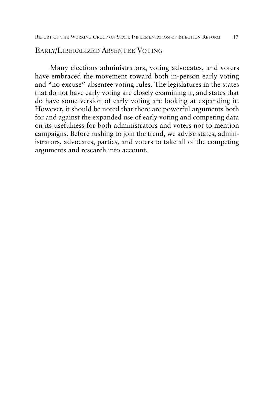#### EARLY/LIBERALIZED ABSENTEE VOTING

Many elections administrators, voting advocates, and voters have embraced the movement toward both in-person early voting and "no excuse" absentee voting rules. The legislatures in the states that do not have early voting are closely examining it, and states that do have some version of early voting are looking at expanding it. However, it should be noted that there are powerful arguments both for and against the expanded use of early voting and competing data on its usefulness for both administrators and voters not to mention campaigns. Before rushing to join the trend, we advise states, administrators, advocates, parties, and voters to take all of the competing arguments and research into account.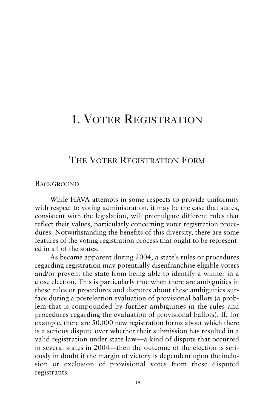## 1. VOTER REGISTRATION

## THE VOTER REGISTRATION FORM

#### **BACKGROUND**

While HAVA attempts in some respects to provide uniformity with respect to voting administration, it may be the case that states, consistent with the legislation, will promulgate different rules that reflect their values, particularly concerning voter registration procedures. Notwithstanding the benefits of this diversity, there are some features of the voting registration process that ought to be represented in all of the states.

As became apparent during 2004, a state's rules or procedures regarding registration may potentially disenfranchise eligible voters and/or prevent the state from being able to identify a winner in a close election. This is particularly true when there are ambiguities in these rules or procedures and disputes about these ambiguities surface during a postelection evaluation of provisional ballots (a problem that is compounded by further ambiguities in the rules and procedures regarding the evaluation of provisional ballots). If, for example, there are 50,000 new registration forms about which there is a serious dispute over whether their submission has resulted in a valid registration under state law—a kind of dispute that occurred in several states in 2004—then the outcome of the election is seriously in doubt if the margin of victory is dependent upon the inclusion or exclusion of provisional votes from these disputed registrants.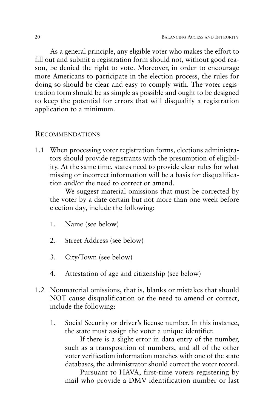As a general principle, any eligible voter who makes the effort to fill out and submit a registration form should not, without good reason, be denied the right to vote. Moreover, in order to encourage more Americans to participate in the election process, the rules for doing so should be clear and easy to comply with. The voter registration form should be as simple as possible and ought to be designed to keep the potential for errors that will disqualify a registration application to a minimum.

#### RECOMMENDATIONS

1.1 When processing voter registration forms, elections administrators should provide registrants with the presumption of eligibility. At the same time, states need to provide clear rules for what missing or incorrect information will be a basis for disqualification and/or the need to correct or amend.

We suggest material omissions that must be corrected by the voter by a date certain but not more than one week before election day, include the following:

- 1. Name (see below)
- 2. Street Address (see below)
- 3. City/Town (see below)
- 4. Attestation of age and citizenship (see below)
- 1.2 Nonmaterial omissions, that is, blanks or mistakes that should NOT cause disqualification or the need to amend or correct, include the following:
	- 1. Social Security or driver's license number. In this instance, the state must assign the voter a unique identifier.

If there is a slight error in data entry of the number, such as a transposition of numbers, and all of the other voter verification information matches with one of the state databases, the administrator should correct the voter record.

Pursuant to HAVA, first-time voters registering by mail who provide a DMV identification number or last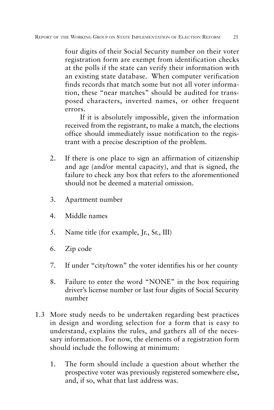four digits of their Social Security number on their voter registration form are exempt from identification checks at the polls if the state can verify their information with an existing state database. When computer verification finds records that match some but not all voter information, these "near matches" should be audited for transposed characters, inverted names, or other frequent errors.

If it is absolutely impossible, given the information received from the registrant, to make a match, the elections office should immediately issue notification to the registrant with a precise description of the problem.

- 2. If there is one place to sign an affirmation of citizenship and age (and/or mental capacity), and that is signed, the failure to check any box that refers to the aforementioned should not be deemed a material omission.
- 3. Apartment number
- 4. Middle names
- 5. Name title (for example, Jr., Sr., III)
- 6. Zip code
- 7. If under "city/town" the voter identifies his or her county
- 8. Failure to enter the word "NONE" in the box requiring driver's license number or last four digits of Social Security number
- 1.3 More study needs to be undertaken regarding best practices in design and wording selection for a form that is easy to understand, explains the rules, and gathers all of the necessary information. For now, the elements of a registration form should include the following at minimum:
	- 1. The form should include a question about whether the prospective voter was previously registered somewhere else, and, if so, what that last address was.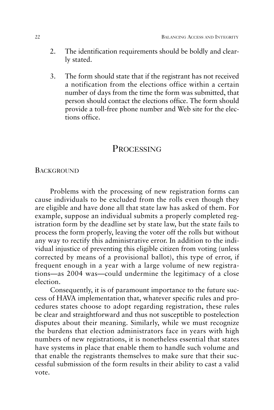- 2. The identification requirements should be boldly and clearly stated.
- 3. The form should state that if the registrant has not received a notification from the elections office within a certain number of days from the time the form was submitted, that person should contact the elections office. The form should provide a toll-free phone number and Web site for the elections office.

## PROCESSING

#### **BACKGROUND**

Problems with the processing of new registration forms can cause individuals to be excluded from the rolls even though they are eligible and have done all that state law has asked of them. For example, suppose an individual submits a properly completed registration form by the deadline set by state law, but the state fails to process the form properly, leaving the voter off the rolls but without any way to rectify this administrative error. In addition to the individual injustice of preventing this eligible citizen from voting (unless corrected by means of a provisional ballot), this type of error, if frequent enough in a year with a large volume of new registrations—as 2004 was—could undermine the legitimacy of a close election.

Consequently, it is of paramount importance to the future success of HAVA implementation that, whatever specific rules and procedures states choose to adopt regarding registration, these rules be clear and straightforward and thus not susceptible to postelection disputes about their meaning. Similarly, while we must recognize the burdens that election administrators face in years with high numbers of new registrations, it is nonetheless essential that states have systems in place that enable them to handle such volume and that enable the registrants themselves to make sure that their successful submission of the form results in their ability to cast a valid vote.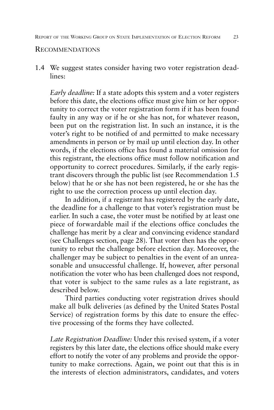#### RECOMMENDATIONS

1.4 We suggest states consider having two voter registration deadlines:

*Early deadline:* If a state adopts this system and a voter registers before this date, the elections office must give him or her opportunity to correct the voter registration form if it has been found faulty in any way or if he or she has not, for whatever reason, been put on the registration list. In such an instance, it is the voter's right to be notified of and permitted to make necessary amendments in person or by mail up until election day. In other words, if the elections office has found a material omission for this registrant, the elections office must follow notification and opportunity to correct procedures. Similarly, if the early registrant discovers through the public list (see Recommendation 1.5 below) that he or she has not been registered, he or she has the right to use the correction process up until election day.

In addition, if a registrant has registered by the early date, the deadline for a challenge to that voter's registration must be earlier. In such a case, the voter must be notified by at least one piece of forwardable mail if the elections office concludes the challenge has merit by a clear and convincing evidence standard (see Challenges section, page 28). That voter then has the opportunity to rebut the challenge before election day. Moreover, the challenger may be subject to penalties in the event of an unreasonable and unsuccessful challenge. If, however, after personal notification the voter who has been challenged does not respond, that voter is subject to the same rules as a late registrant, as described below.

Third parties conducting voter registration drives should make all bulk deliveries (as defined by the United States Postal Service) of registration forms by this date to ensure the effective processing of the forms they have collected.

*Late Registration Deadline:* Under this revised system, if a voter registers by this later date, the elections office should make every effort to notify the voter of any problems and provide the opportunity to make corrections. Again, we point out that this is in the interests of election administrators, candidates, and voters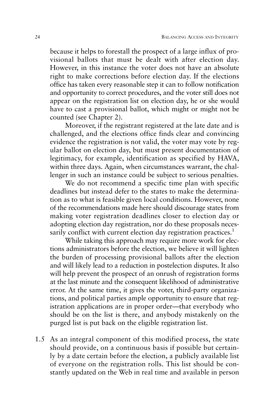because it helps to forestall the prospect of a large influx of provisional ballots that must be dealt with after election day. However, in this instance the voter does not have an absolute right to make corrections before election day. If the elections office has taken every reasonable step it can to follow notification and opportunity to correct procedures, and the voter still does not appear on the registration list on election day, he or she would have to cast a provisional ballot, which might or might not be counted (see Chapter 2).

Moreover, if the registrant registered at the late date and is challenged, and the elections office finds clear and convincing evidence the registration is not valid, the voter may vote by regular ballot on election day, but must present documentation of legitimacy, for example, identification as specified by HAVA, within three days. Again, when circumstances warrant, the challenger in such an instance could be subject to serious penalties.

We do not recommend a specific time plan with specific deadlines but instead defer to the states to make the determination as to what is feasible given local conditions. However, none of the recommendations made here should discourage states from making voter registration deadlines closer to election day or adopting election day registration, nor do these proposals necessarily conflict with current election day registration practices.<sup>1</sup>

While taking this approach may require more work for elections administrators before the election, we believe it will lighten the burden of processing provisional ballots after the election and will likely lead to a reduction in postelection disputes. It also will help prevent the prospect of an onrush of registration forms at the last minute and the consequent likelihood of administrative error. At the same time, it gives the voter, third-party organizations, and political parties ample opportunity to ensure that registration applications are in proper order—that everybody who should be on the list is there, and anybody mistakenly on the purged list is put back on the eligible registration list.

1.5 As an integral component of this modified process, the state should provide, on a continuous basis if possible but certainly by a date certain before the election, a publicly available list of everyone on the registration rolls. This list should be constantly updated on the Web in real time and available in person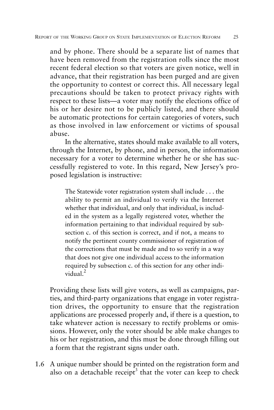and by phone. There should be a separate list of names that have been removed from the registration rolls since the most recent federal election so that voters are given notice, well in advance, that their registration has been purged and are given the opportunity to contest or correct this. All necessary legal precautions should be taken to protect privacy rights with respect to these lists—a voter may notify the elections office of his or her desire not to be publicly listed, and there should be automatic protections for certain categories of voters, such as those involved in law enforcement or victims of spousal abuse.

In the alternative, states should make available to all voters, through the Internet, by phone, and in person, the information necessary for a voter to determine whether he or she has successfully registered to vote. In this regard, New Jersey's proposed legislation is instructive:

The Statewide voter registration system shall include . . . the ability to permit an individual to verify via the Internet whether that individual, and only that individual, is included in the system as a legally registered voter, whether the information pertaining to that individual required by subsection c. of this section is correct, and if not, a means to notify the pertinent county commissioner of registration of the corrections that must be made and to so verify in a way that does not give one individual access to the information required by subsection c. of this section for any other individual. $^2$ 

Providing these lists will give voters, as well as campaigns, parties, and third-party organizations that engage in voter registration drives, the opportunity to ensure that the registration applications are processed properly and, if there is a question, to take whatever action is necessary to rectify problems or omissions. However, only the voter should be able make changes to his or her registration, and this must be done through filling out a form that the registrant signs under oath.

1.6 A unique number should be printed on the registration form and also on a detachable receipt<sup>3</sup> that the voter can keep to check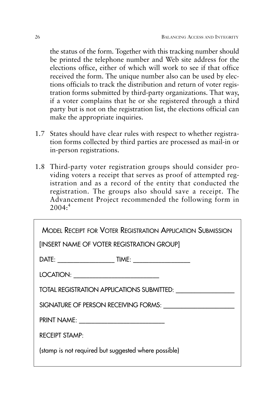the status of the form. Together with this tracking number should be printed the telephone number and Web site address for the elections office, either of which will work to see if that office received the form. The unique number also can be used by elections officials to track the distribution and return of voter registration forms submitted by third-party organizations. That way, if a voter complains that he or she registered through a third party but is not on the registration list, the elections official can make the appropriate inquiries.

- 1.7 States should have clear rules with respect to whether registration forms collected by third parties are processed as mail-in or in-person registrations.
- 1.8 Third-party voter registration groups should consider providing voters a receipt that serves as proof of attempted registration and as a record of the entity that conducted the registration. The groups also should save a receipt. The Advancement Project recommended the following form in  $2004:^{4}$

| <b>MODEL RECEIPT FOR VOTER REGISTRATION APPLICATION SUBMISSION</b><br>[INSERT NAME OF VOTER REGISTRATION GROUP] |
|-----------------------------------------------------------------------------------------------------------------|
|                                                                                                                 |
|                                                                                                                 |
| TOTAL REGISTRATION APPLICATIONS SUBMITTED: UNITED ASSESSED.                                                     |
| SIGNATURE OF PERSON RECEIVING FORMS:                                                                            |
|                                                                                                                 |
| RECEIPT STAMP:                                                                                                  |
| (stamp is not required but suggested where possible)                                                            |
|                                                                                                                 |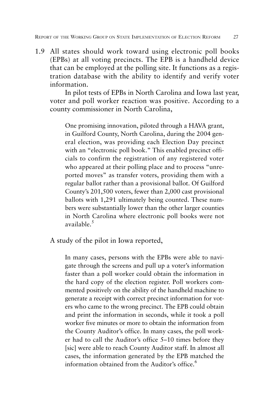1.9 All states should work toward using electronic poll books (EPBs) at all voting precincts. The EPB is a handheld device that can be employed at the polling site. It functions as a registration database with the ability to identify and verify voter information.

In pilot tests of EPBs in North Carolina and Iowa last year, voter and poll worker reaction was positive. According to a county commissioner in North Carolina,

One promising innovation, piloted through a HAVA grant, in Guilford County, North Carolina, during the 2004 general election, was providing each Election Day precinct with an "electronic poll book." This enabled precinct officials to confirm the registration of any registered voter who appeared at their polling place and to process "unreported moves" as transfer voters, providing them with a regular ballot rather than a provisional ballot. Of Guilford County's 201,500 voters, fewer than 2,000 cast provisional ballots with 1,291 ultimately being counted. These numbers were substantially lower than the other larger counties in North Carolina where electronic poll books were not available $^5$ 

A study of the pilot in Iowa reported,

In many cases, persons with the EPBs were able to navigate through the screens and pull up a voter's information faster than a poll worker could obtain the information in the hard copy of the election register. Poll workers commented positively on the ability of the handheld machine to generate a receipt with correct precinct information for voters who came to the wrong precinct. The EPB could obtain and print the information in seconds, while it took a poll worker five minutes or more to obtain the information from the County Auditor's office. In many cases, the poll worker had to call the Auditor's office 5–10 times before they [sic] were able to reach County Auditor staff. In almost all cases, the information generated by the EPB matched the information obtained from the Auditor's office.<sup>6</sup>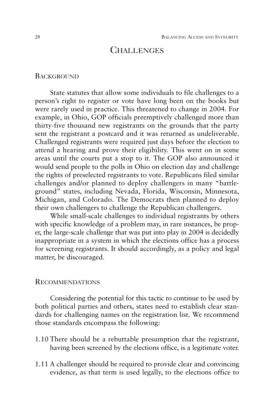#### CHALLENGES

#### **BACKGROUND**

State statutes that allow some individuals to file challenges to a person's right to register or vote have long been on the books but were rarely used in practice. This threatened to change in 2004. For example, in Ohio, GOP officials preemptively challenged more than thirty-five thousand new registrants on the grounds that the party sent the registrant a postcard and it was returned as undeliverable. Challenged registrants were required just days before the election to attend a hearing and prove their eligibility. This went on in some areas until the courts put a stop to it. The GOP also announced it would send people to the polls in Ohio on election day and challenge the rights of preselected registrants to vote. Republicans filed similar challenges and/or planned to deploy challengers in many "battleground" states, including Nevada, Florida, Wisconsin, Minnesota, Michigan, and Colorado. The Democrats then planned to deploy their own challengers to challenge the Republican challengers.

While small-scale challenges to individual registrants by others with specific knowledge of a problem may, in rare instances, be proper, the large-scale challenge that was put into play in 2004 is decidedly inappropriate in a system in which the elections office has a process for screening registrants. It should accordingly, as a policy and legal matter, be discouraged.

#### RECOMMENDATIONS

Considering the potential for this tactic to continue to be used by both political parties and others, states need to establish clear standards for challenging names on the registration list. We recommend those standards encompass the following:

- 1.10 There should be a rebuttable presumption that the registrant, having been screened by the elections office, is a legitimate voter.
- 1.11 A challenger should be required to provide clear and convincing evidence, as that term is used legally, to the elections office to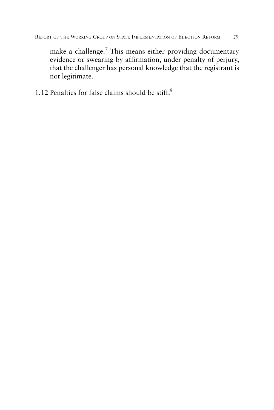make a challenge.<sup>7</sup> This means either providing documentary evidence or swearing by affirmation, under penalty of perjury, that the challenger has personal knowledge that the registrant is not legitimate.

1.12 Penalties for false claims should be stiff.8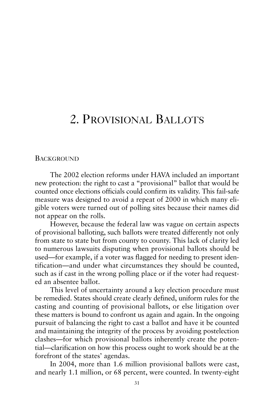# 2. PROVISIONAL BALLOTS

## **BACKGROUND**

The 2002 election reforms under HAVA included an important new protection: the right to cast a "provisional" ballot that would be counted once elections officials could confirm its validity. This fail-safe measure was designed to avoid a repeat of 2000 in which many eligible voters were turned out of polling sites because their names did not appear on the rolls.

However, because the federal law was vague on certain aspects of provisional balloting, such ballots were treated differently not only from state to state but from county to county. This lack of clarity led to numerous lawsuits disputing when provisional ballots should be used—for example, if a voter was flagged for needing to present identification—and under what circumstances they should be counted, such as if cast in the wrong polling place or if the voter had requested an absentee ballot.

This level of uncertainty around a key election procedure must be remedied. States should create clearly defined, uniform rules for the casting and counting of provisional ballots, or else litigation over these matters is bound to confront us again and again. In the ongoing pursuit of balancing the right to cast a ballot and have it be counted and maintaining the integrity of the process by avoiding postelection clashes—for which provisional ballots inherently create the potential—clarification on how this process ought to work should be at the forefront of the states' agendas.

In 2004, more than 1.6 million provisional ballots were cast, and nearly 1.1 million, or 68 percent, were counted. In twenty-eight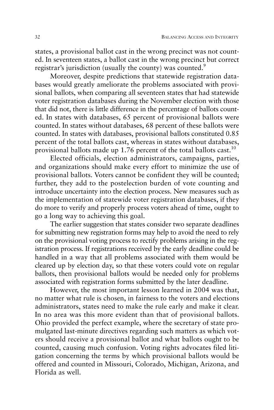states, a provisional ballot cast in the wrong precinct was not counted. In seventeen states, a ballot cast in the wrong precinct but correct registrar's jurisdiction (usually the county) was counted.<sup>9</sup>

Moreover, despite predictions that statewide registration databases would greatly ameliorate the problems associated with provisional ballots, when comparing all seventeen states that had statewide voter registration databases during the November election with those that did not, there is little difference in the percentage of ballots counted. In states with databases, 65 percent of provisional ballots were counted. In states without databases, 68 percent of these ballots were counted. In states with databases, provisional ballots constituted 0.85 percent of the total ballots cast, whereas in states without databases, provisional ballots made up 1.76 percent of the total ballots cast.<sup>10</sup>

Elected officials, election administrators, campaigns, parties, and organizations should make every effort to minimize the use of provisional ballots. Voters cannot be confident they will be counted; further, they add to the postelection burden of vote counting and introduce uncertainty into the election process. New measures such as the implementation of statewide voter registration databases, if they do more to verify and properly process voters ahead of time, ought to go a long way to achieving this goal.

The earlier suggestion that states consider two separate deadlines for submitting new registration forms may help to avoid the need to rely on the provisional voting process to rectify problems arising in the registration process. If registrations received by the early deadline could be handled in a way that all problems associated with them would be cleared up by election day, so that these voters could vote on regular ballots, then provisional ballots would be needed only for problems associated with registration forms submitted by the later deadline.

However, the most important lesson learned in 2004 was that, no matter what rule is chosen, in fairness to the voters and elections administrators, states need to make the rule early and make it clear. In no area was this more evident than that of provisional ballots. Ohio provided the perfect example, where the secretary of state promulgated last-minute directives regarding such matters as which voters should receive a provisional ballot and what ballots ought to be counted, causing much confusion. Voting rights advocates filed litigation concerning the terms by which provisional ballots would be offered and counted in Missouri, Colorado, Michigan, Arizona, and Florida as well.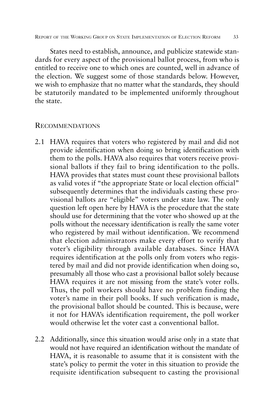States need to establish, announce, and publicize statewide standards for every aspect of the provisional ballot process, from who is entitled to receive one to which ones are counted, well in advance of the election. We suggest some of those standards below. However, we wish to emphasize that no matter what the standards, they should be statutorily mandated to be implemented uniformly throughout the state.

### RECOMMENDATIONS

- 2.1 HAVA requires that voters who registered by mail and did not provide identification when doing so bring identification with them to the polls. HAVA also requires that voters receive provisional ballots if they fail to bring identification to the polls. HAVA provides that states must count these provisional ballots as valid votes if "the appropriate State or local election official" subsequently determines that the individuals casting these provisional ballots are "eligible" voters under state law. The only question left open here by HAVA is the procedure that the state should use for determining that the voter who showed up at the polls without the necessary identification is really the same voter who registered by mail without identification. We recommend that election administrators make every effort to verify that voter's eligibility through available databases. Since HAVA requires identification at the polls only from voters who registered by mail and did not provide identification when doing so, presumably all those who cast a provisional ballot solely because HAVA requires it are not missing from the state's voter rolls. Thus, the poll workers should have no problem finding the voter's name in their poll books. If such verification is made, the provisional ballot should be counted. This is because, were it not for HAVA's identification requirement, the poll worker would otherwise let the voter cast a conventional ballot.
- 2.2 Additionally, since this situation would arise only in a state that would not have required an identification without the mandate of HAVA, it is reasonable to assume that it is consistent with the state's policy to permit the voter in this situation to provide the requisite identification subsequent to casting the provisional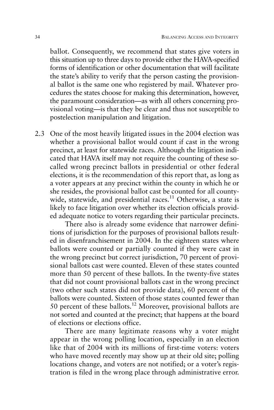ballot. Consequently, we recommend that states give voters in this situation up to three days to provide either the HAVA-specified forms of identification or other documentation that will facilitate the state's ability to verify that the person casting the provisional ballot is the same one who registered by mail. Whatever procedures the states choose for making this determination, however, the paramount consideration—as with all others concerning provisional voting—is that they be clear and thus not susceptible to postelection manipulation and litigation.

2.3 One of the most heavily litigated issues in the 2004 election was whether a provisional ballot would count if cast in the wrong precinct, at least for statewide races. Although the litigation indicated that HAVA itself may not require the counting of these socalled wrong precinct ballots in presidential or other federal elections, it is the recommendation of this report that, as long as a voter appears at any precinct within the county in which he or she resides, the provisional ballot cast be counted for all countywide, statewide, and presidential races.<sup>11</sup> Otherwise, a state is likely to face litigation over whether its election officials provided adequate notice to voters regarding their particular precincts.

There also is already some evidence that narrower definitions of jurisdiction for the purposes of provisional ballots resulted in disenfranchisement in 2004. In the eighteen states where ballots were counted or partially counted if they were cast in the wrong precinct but correct jurisdiction, 70 percent of provisional ballots cast were counted. Eleven of these states counted more than 50 percent of these ballots. In the twenty-five states that did not count provisional ballots cast in the wrong precinct (two other such states did not provide data), 60 percent of the ballots were counted. Sixteen of those states counted fewer than 50 percent of these ballots.<sup>12</sup> Moreover, provisional ballots are not sorted and counted at the precinct; that happens at the board of elections or elections office.

There are many legitimate reasons why a voter might appear in the wrong polling location, especially in an election like that of 2004 with its millions of first-time voters: voters who have moved recently may show up at their old site; polling locations change, and voters are not notified; or a voter's registration is filed in the wrong place through administrative error.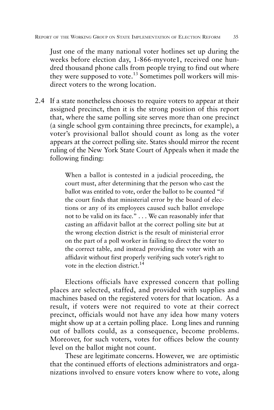Just one of the many national voter hotlines set up during the weeks before election day, 1-866-myvote1, received one hundred thousand phone calls from people trying to find out where they were supposed to vote.<sup>13</sup> Sometimes poll workers will misdirect voters to the wrong location.

2.4 If a state nonetheless chooses to require voters to appear at their assigned precinct, then it is the strong position of this report that, where the same polling site serves more than one precinct (a single school gym containing three precincts, for example), a voter's provisional ballot should count as long as the voter appears at the correct polling site. States should mirror the recent ruling of the New York State Court of Appeals when it made the following finding:

> When a ballot is contested in a judicial proceeding, the court must, after determining that the person who cast the ballot was entitled to vote, order the ballot to be counted "if the court finds that ministerial error by the board of elections or any of its employees caused such ballot envelope not to be valid on its face." . . . We can reasonably infer that casting an affidavit ballot at the correct polling site but at the wrong election district is the result of ministerial error on the part of a poll worker in failing to direct the voter to the correct table, and instead providing the voter with an affidavit without first properly verifying such voter's right to vote in the election district.<sup>14</sup>

Elections officials have expressed concern that polling places are selected, staffed, and provided with supplies and machines based on the registered voters for that location. As a result, if voters were not required to vote at their correct precinct, officials would not have any idea how many voters might show up at a certain polling place. Long lines and running out of ballots could, as a consequence, become problems. Moreover, for such voters, votes for offices below the county level on the ballot might not count.

These are legitimate concerns. However, we are optimistic that the continued efforts of elections administrators and organizations involved to ensure voters know where to vote, along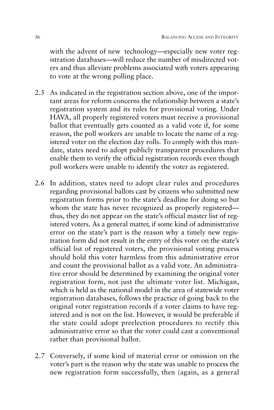with the advent of new technology—especially new voter registration databases—will reduce the number of misdirected voters and thus alleviate problems associated with voters appearing to vote at the wrong polling place.

- 2.5 As indicated in the registration section above, one of the important areas for reform concerns the relationship between a state's registration system and its rules for provisional voting. Under HAVA, all properly registered voters must receive a provisional ballot that eventually gets counted as a valid vote if, for some reason, the poll workers are unable to locate the name of a registered voter on the election day rolls. To comply with this mandate, states need to adopt publicly transparent procedures that enable them to verify the official registration records even though poll workers were unable to identify the voter as registered.
- 2.6 In addition, states need to adopt clear rules and procedures regarding provisional ballots cast by citizens who submitted new registration forms prior to the state's deadline for doing so but whom the state has never recognized as properly registered thus, they do not appear on the state's official master list of registered voters. As a general matter, if some kind of administrative error on the state's part is the reason why a timely new registration form did not result in the entry of this voter on the state's official list of registered voters, the provisional voting process should hold this voter harmless from this administrative error and count the provisional ballot as a valid vote. An administrative error should be determined by examining the original voter registration form, not just the ultimate voter list. Michigan, which is held as the national model in the area of statewide voter registration databases, follows the practice of going back to the original voter registration records if a voter claims to have registered and is not on the list. However, it would be preferable if the state could adopt preelection procedures to rectify this administrative error so that the voter could cast a conventional rather than provisional ballot.
- 2.7 Conversely, if some kind of material error or omission on the voter's part is the reason why the state was unable to process the new registration form successfully, then (again, as a general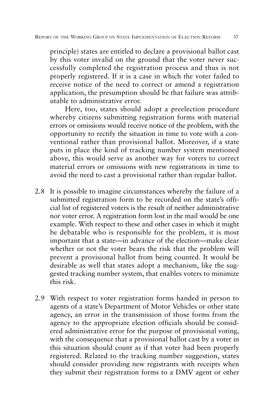principle) states are entitled to declare a provisional ballot cast by this voter invalid on the ground that the voter never successfully completed the registration process and thus is not properly registered. If it is a case in which the voter failed to receive notice of the need to correct or amend a registration application, the presumption should be that failure was attributable to administrative error.

Here, too, states should adopt a preelection procedure whereby citizens submitting registration forms with material errors or omissions would receive notice of the problem, with the opportunity to rectify the situation in time to vote with a conventional rather than provisional ballot. Moreover, if a state puts in place the kind of tracking number system mentioned above, this would serve as another way for voters to correct material errors or omissions with new registrations in time to avoid the need to cast a provisional rather than regular ballot.

- 2.8 It is possible to imagine circumstances whereby the failure of a submitted registration form to be recorded on the state's official list of registered voters is the result of neither administrative nor voter error. A registration form lost in the mail would be one example. With respect to these and other cases in which it might be debatable who is responsible for the problem, it is most important that a state—in advance of the election—make clear whether or not the voter bears the risk that the problem will prevent a provisional ballot from being counted. It would be desirable as well that states adopt a mechanism, like the suggested tracking number system, that enables voters to minimize this risk.
- 2.9 With respect to voter registration forms handed in person to agents of a state's Department of Motor Vehicles or other state agency, an error in the transmission of those forms from the agency to the appropriate election officials should be considered administrative error for the purpose of provisional voting, with the consequence that a provisional ballot cast by a voter in this situation should count as if that voter had been properly registered. Related to the tracking number suggestion, states should consider providing new registrants with receipts when they submit their registration forms to a DMV agent or other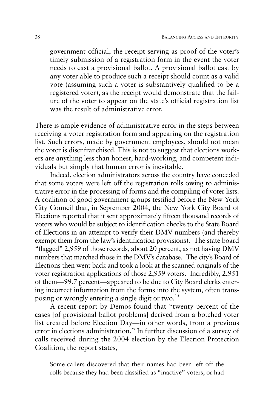government official, the receipt serving as proof of the voter's timely submission of a registration form in the event the voter needs to cast a provisional ballot. A provisional ballot cast by any voter able to produce such a receipt should count as a valid vote (assuming such a voter is substantively qualified to be a registered voter), as the receipt would demonstrate that the failure of the voter to appear on the state's official registration list was the result of administrative error.

There is ample evidence of administrative error in the steps between receiving a voter registration form and appearing on the registration list. Such errors, made by government employees, should not mean the voter is disenfranchised. This is not to suggest that elections workers are anything less than honest, hard-working, and competent individuals but simply that human error is inevitable.

Indeed, election administrators across the country have conceded that some voters were left off the registration rolls owing to administrative error in the processing of forms and the compiling of voter lists. A coalition of good-government groups testified before the New York City Council that, in September 2004, the New York City Board of Elections reported that it sent approximately fifteen thousand records of voters who would be subject to identification checks to the State Board of Elections in an attempt to verify their DMV numbers (and thereby exempt them from the law's identification provisions). The state board "flagged" 2,959 of those records, about 20 percent, as not having DMV numbers that matched those in the DMV's database. The city's Board of Elections then went back and took a look at the scanned originals of the voter registration applications of those 2,959 voters. Incredibly, 2,951 of them—99.7 percent—appeared to be due to City Board clerks entering incorrect information from the forms into the system, often transposing or wrongly entering a single digit or two.<sup>15</sup>

A recent report by Demos found that "twenty percent of the cases [of provisional ballot problems] derived from a botched voter list created before Election Day—in other words, from a previous error in elections administration." In further discussion of a survey of calls received during the 2004 election by the Election Protection Coalition, the report states,

Some callers discovered that their names had been left off the rolls because they had been classified as "inactive" voters, or had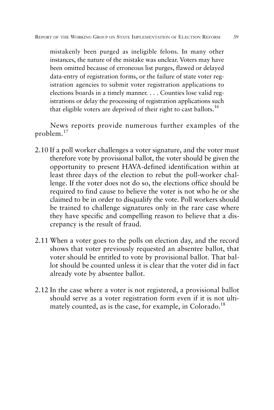mistakenly been purged as ineligible felons. In many other instances, the nature of the mistake was unclear. Voters may have been omitted because of erroneous list purges, flawed or delayed data-entry of registration forms, or the failure of state voter registration agencies to submit voter registration applications to elections boards in a timely manner. . . . Counties lose valid registrations or delay the processing of registration applications such that eligible voters are deprived of their right to cast ballots.<sup>16</sup>

News reports provide numerous further examples of the problem.<sup>17</sup>

- 2.10 If a poll worker challenges a voter signature, and the voter must therefore vote by provisional ballot, the voter should be given the opportunity to present HAVA-defined identification within at least three days of the election to rebut the poll-worker challenge. If the voter does not do so, the elections office should be required to find cause to believe the voter is not who he or she claimed to be in order to disqualify the vote. Poll workers should be trained to challenge signatures only in the rare case where they have specific and compelling reason to believe that a discrepancy is the result of fraud.
- 2.11 When a voter goes to the polls on election day, and the record shows that voter previously requested an absentee ballot, that voter should be entitled to vote by provisional ballot. That ballot should be counted unless it is clear that the voter did in fact already vote by absentee ballot.
- 2.12 In the case where a voter is not registered, a provisional ballot should serve as a voter registration form even if it is not ultimately counted, as is the case, for example, in Colorado.<sup>18</sup>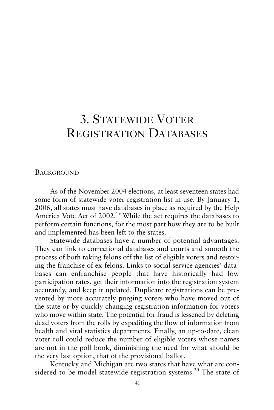# 3. STATEWIDE VOTER REGISTRATION DATABASES

#### **BACKGROUND**

As of the November 2004 elections, at least seventeen states had some form of statewide voter registration list in use. By January 1, 2006, all states must have databases in place as required by the Help America Vote Act of 2002.<sup>19</sup> While the act requires the databases to perform certain functions, for the most part how they are to be built and implemented has been left to the states.

Statewide databases have a number of potential advantages. They can link to correctional databases and courts and smooth the process of both taking felons off the list of eligible voters and restoring the franchise of ex-felons. Links to social service agencies' databases can enfranchise people that have historically had low participation rates, get their information into the registration system accurately, and keep it updated. Duplicate registrations can be prevented by more accurately purging voters who have moved out of the state or by quickly changing registration information for voters who move within state. The potential for fraud is lessened by deleting dead voters from the rolls by expediting the flow of information from health and vital statistics departments. Finally, an up-to-date, clean voter roll could reduce the number of eligible voters whose names are not in the poll book, diminishing the need for what should be the very last option, that of the provisional ballot.

Kentucky and Michigan are two states that have what are considered to be model statewide registration systems.<sup>20</sup> The state of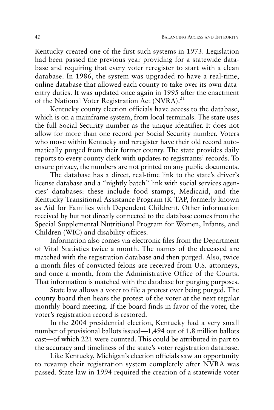Kentucky created one of the first such systems in 1973. Legislation had been passed the previous year providing for a statewide database and requiring that every voter reregister to start with a clean database. In 1986, the system was upgraded to have a real-time, online database that allowed each county to take over its own dataentry duties. It was updated once again in 1995 after the enactment of the National Voter Registration Act  $(NVRA)$ <sup>21</sup>

Kentucky county election officials have access to the database, which is on a mainframe system, from local terminals. The state uses the full Social Security number as the unique identifier. It does not allow for more than one record per Social Security number. Voters who move within Kentucky and reregister have their old record automatically purged from their former county. The state provides daily reports to every county clerk with updates to registrants' records. To ensure privacy, the numbers are not printed on any public documents.

The database has a direct, real-time link to the state's driver's license database and a "nightly batch" link with social services agencies' databases: these include food stamps, Medicaid, and the Kentucky Transitional Assistance Program (K-TAP, formerly known as Aid for Families with Dependent Children). Other information received by but not directly connected to the database comes from the Special Supplemental Nutritional Program for Women, Infants, and Children (WIC) and disability offices.

Information also comes via electronic files from the Department of Vital Statistics twice a month. The names of the deceased are matched with the registration database and then purged. Also, twice a month files of convicted felons are received from U.S. attorneys, and once a month, from the Administrative Office of the Courts. That information is matched with the database for purging purposes.

State law allows a voter to file a protest over being purged. The county board then hears the protest of the voter at the next regular monthly board meeting. If the board finds in favor of the voter, the voter's registration record is restored.

In the 2004 presidential election, Kentucky had a very small number of provisional ballots issued—1,494 out of 1.8 million ballots cast—of which 221 were counted. This could be attributed in part to the accuracy and timeliness of the state's voter registration database.

Like Kentucky, Michigan's election officials saw an opportunity to revamp their registration system completely after NVRA was passed. State law in 1994 required the creation of a statewide voter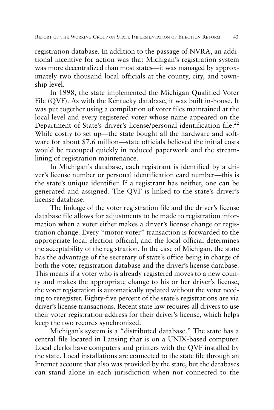registration database. In addition to the passage of NVRA, an additional incentive for action was that Michigan's registration system was more decentralized than most states—it was managed by approximately two thousand local officials at the county, city, and township level.

In 1998, the state implemented the Michigan Qualified Voter File (QVF). As with the Kentucky database, it was built in-house. It was put together using a compilation of voter files maintained at the local level and every registered voter whose name appeared on the Department of State's driver's license/personal identification file.<sup>22</sup> While costly to set up—the state bought all the hardware and software for about \$7.6 million—state officials believed the initial costs would be recouped quickly in reduced paperwork and the streamlining of registration maintenance.

In Michigan's database, each registrant is identified by a driver's license number or personal identification card number—this is the state's unique identifier. If a registrant has neither, one can be generated and assigned. The QVF is linked to the state's driver's license database.

The linkage of the voter registration file and the driver's license database file allows for adjustments to be made to registration information when a voter either makes a driver's license change or registration change. Every "motor-voter" transaction is forwarded to the appropriate local election official, and the local official determines the acceptability of the registration. In the case of Michigan, the state has the advantage of the secretary of state's office being in charge of both the voter registration database and the driver's license database. This means if a voter who is already registered moves to a new county and makes the appropriate change to his or her driver's license, the voter registration is automatically updated without the voter needing to reregister. Eighty-five percent of the state's registrations are via driver's license transactions. Recent state law requires all drivers to use their voter registration address for their driver's license, which helps keep the two records synchronized.

Michigan's system is a "distributed database." The state has a central file located in Lansing that is on a UNIX-based computer. Local clerks have computers and printers with the QVF installed by the state. Local installations are connected to the state file through an Internet account that also was provided by the state, but the databases can stand alone in each jurisdiction when not connected to the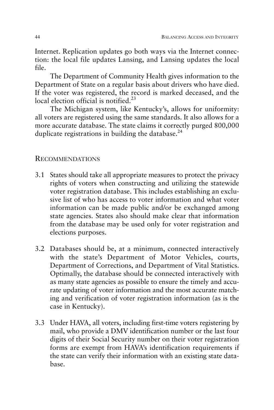Internet. Replication updates go both ways via the Internet connection: the local file updates Lansing, and Lansing updates the local file.

The Department of Community Health gives information to the Department of State on a regular basis about drivers who have died. If the voter was registered, the record is marked deceased, and the local election official is notified.<sup>23</sup>

The Michigan system, like Kentucky's, allows for uniformity: all voters are registered using the same standards. It also allows for a more accurate database. The state claims it correctly purged 800,000 duplicate registrations in building the database. $^{24}$ 

# RECOMMENDATIONS

- 3.1 States should take all appropriate measures to protect the privacy rights of voters when constructing and utilizing the statewide voter registration database. This includes establishing an exclusive list of who has access to voter information and what voter information can be made public and/or be exchanged among state agencies. States also should make clear that information from the database may be used only for voter registration and elections purposes.
- 3.2 Databases should be, at a minimum, connected interactively with the state's Department of Motor Vehicles, courts, Department of Corrections, and Department of Vital Statistics. Optimally, the database should be connected interactively with as many state agencies as possible to ensure the timely and accurate updating of voter information and the most accurate matching and verification of voter registration information (as is the case in Kentucky).
- 3.3 Under HAVA, all voters, including first-time voters registering by mail, who provide a DMV identification number or the last four digits of their Social Security number on their voter registration forms are exempt from HAVA's identification requirements if the state can verify their information with an existing state database.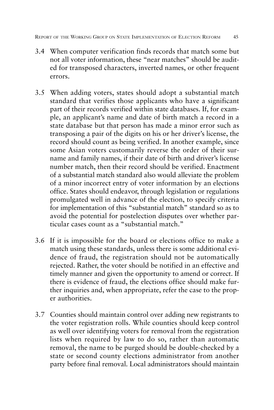REPORT OF THE WORKING GROUP ON STATE IMPLEMENTATION OF ELECTION REFORM 45

- 3.4 When computer verification finds records that match some but not all voter information, these "near matches" should be audited for transposed characters, inverted names, or other frequent errors.
- 3.5 When adding voters, states should adopt a substantial match standard that verifies those applicants who have a significant part of their records verified within state databases. If, for example, an applicant's name and date of birth match a record in a state database but that person has made a minor error such as transposing a pair of the digits on his or her driver's license, the record should count as being verified. In another example, since some Asian voters customarily reverse the order of their surname and family names, if their date of birth and driver's license number match, then their record should be verified. Enactment of a substantial match standard also would alleviate the problem of a minor incorrect entry of voter information by an elections office. States should endeavor, through legislation or regulations promulgated well in advance of the election, to specify criteria for implementation of this "substantial match" standard so as to avoid the potential for postelection disputes over whether particular cases count as a "substantial match."
- 3.6 If it is impossible for the board or elections office to make a match using these standards, unless there is some additional evidence of fraud, the registration should not be automatically rejected. Rather, the voter should be notified in an effective and timely manner and given the opportunity to amend or correct. If there is evidence of fraud, the elections office should make further inquiries and, when appropriate, refer the case to the proper authorities.
- 3.7 Counties should maintain control over adding new registrants to the voter registration rolls. While counties should keep control as well over identifying voters for removal from the registration lists when required by law to do so, rather than automatic removal, the name to be purged should be double-checked by a state or second county elections administrator from another party before final removal. Local administrators should maintain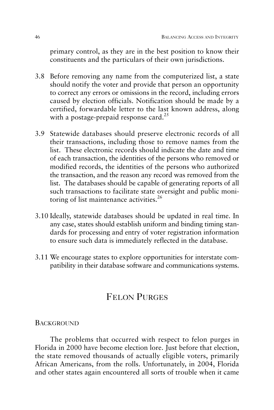primary control, as they are in the best position to know their constituents and the particulars of their own jurisdictions.

- 3.8 Before removing any name from the computerized list, a state should notify the voter and provide that person an opportunity to correct any errors or omissions in the record, including errors caused by election officials. Notification should be made by a certified, forwardable letter to the last known address, along with a postage-prepaid response card.<sup>25</sup>
- 3.9 Statewide databases should preserve electronic records of all their transactions, including those to remove names from the list. These electronic records should indicate the date and time of each transaction, the identities of the persons who removed or modified records, the identities of the persons who authorized the transaction, and the reason any record was removed from the list. The databases should be capable of generating reports of all such transactions to facilitate state oversight and public monitoring of list maintenance activities. $26$
- 3.10 Ideally, statewide databases should be updated in real time. In any case, states should establish uniform and binding timing standards for processing and entry of voter registration information to ensure such data is immediately reflected in the database.
- 3.11 We encourage states to explore opportunities for interstate compatibility in their database software and communications systems.

# FELON PURGES

# **BACKGROUND**

The problems that occurred with respect to felon purges in Florida in 2000 have become election lore. Just before that election, the state removed thousands of actually eligible voters, primarily African Americans, from the rolls. Unfortunately, in 2004, Florida and other states again encountered all sorts of trouble when it came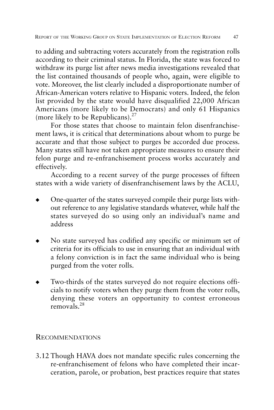to adding and subtracting voters accurately from the registration rolls according to their criminal status. In Florida, the state was forced to withdraw its purge list after news media investigations revealed that the list contained thousands of people who, again, were eligible to vote. Moreover, the list clearly included a disproportionate number of African-American voters relative to Hispanic voters. Indeed, the felon list provided by the state would have disqualified 22,000 African Americans (more likely to be Democrats) and only 61 Hispanics (more likely to be Republicans). $27$ 

For those states that choose to maintain felon disenfranchisement laws, it is critical that determinations about whom to purge be accurate and that those subject to purges be accorded due process. Many states still have not taken appropriate measures to ensure their felon purge and re-enfranchisement process works accurately and effectively.

According to a recent survey of the purge processes of fifteen states with a wide variety of disenfranchisement laws by the ACLU,

- One-quarter of the states surveyed compile their purge lists without reference to any legislative standards whatever, while half the states surveyed do so using only an individual's name and address
- No state surveyed has codified any specific or minimum set of criteria for its officials to use in ensuring that an individual with a felony conviction is in fact the same individual who is being purged from the voter rolls.
- Two-thirds of the states surveyed do not require elections officials to notify voters when they purge them from the voter rolls, denying these voters an opportunity to contest erroneous removals.28

# RECOMMENDATIONS

3.12 Though HAVA does not mandate specific rules concerning the re-enfranchisement of felons who have completed their incarceration, parole, or probation, best practices require that states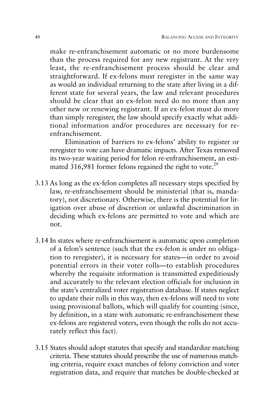make re-enfranchisement automatic or no more burdensome than the process required for any new registrant. At the very least, the re-enfranchisement process should be clear and straightforward. If ex-felons must reregister in the same way as would an individual returning to the state after living in a different state for several years, the law and relevant procedures should be clear that an ex-felon need do no more than any other new or renewing registrant. If an ex-felon must do more than simply reregister, the law should specify exactly what additional information and/or procedures are necessary for reenfranchisement.

Elimination of barriers to ex-felons' ability to register or reregister to vote can have dramatic impacts. After Texas removed its two-year waiting period for felon re-enfranchisement, an estimated 316,981 former felons regained the right to vote.<sup>29</sup>

- 3.13 As long as the ex-felon completes all necessary steps specified by law, re-enfranchisement should be ministerial (that is, mandatory), not discretionary. Otherwise, there is the potential for litigation over abuse of discretion or unlawful discrimination in deciding which ex-felons are permitted to vote and which are not.
- 3.14 In states where re-enfranchisement is automatic upon completion of a felon's sentence (such that the ex-felon is under no obligation to reregister), it is necessary for states—in order to avoid potential errors in their voter rolls—to establish procedures whereby the requisite information is transmitted expeditiously and accurately to the relevant election officials for inclusion in the state's centralized voter registration database. If states neglect to update their rolls in this way, then ex-felons will need to vote using provisional ballots, which will qualify for counting (since, by definition, in a state with automatic re-enfranchisement these ex-felons are registered voters, even though the rolls do not accurately reflect this fact).
- 3.15 States should adopt statutes that specify and standardize matching criteria. These statutes should prescribe the use of numerous matching criteria, require exact matches of felony conviction and voter registration data, and require that matches be double-checked at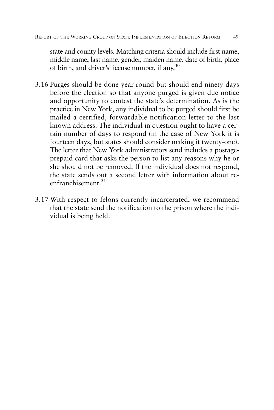state and county levels. Matching criteria should include first name, middle name, last name, gender, maiden name, date of birth, place of birth, and driver's license number, if any.30

- 3.16 Purges should be done year-round but should end ninety days before the election so that anyone purged is given due notice and opportunity to contest the state's determination. As is the practice in New York, any individual to be purged should first be mailed a certified, forwardable notification letter to the last known address. The individual in question ought to have a certain number of days to respond (in the case of New York it is fourteen days, but states should consider making it twenty-one). The letter that New York administrators send includes a postageprepaid card that asks the person to list any reasons why he or she should not be removed. If the individual does not respond, the state sends out a second letter with information about reenfranchisement.<sup>31</sup>
- 3.17 With respect to felons currently incarcerated, we recommend that the state send the notification to the prison where the individual is being held.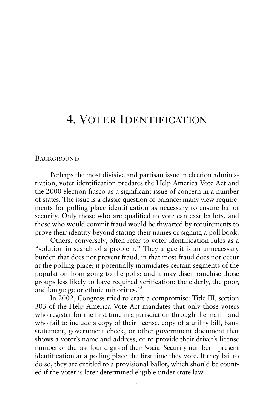# 4. VOTER IDENTIFICATION

#### **BACKGROUND**

Perhaps the most divisive and partisan issue in election administration, voter identification predates the Help America Vote Act and the 2000 election fiasco as a significant issue of concern in a number of states. The issue is a classic question of balance: many view requirements for polling place identification as necessary to ensure ballot security. Only those who are qualified to vote can cast ballots, and those who would commit fraud would be thwarted by requirements to prove their identity beyond stating their names or signing a poll book.

Others, conversely, often refer to voter identification rules as a "solution in search of a problem." They argue it is an unnecessary burden that does not prevent fraud, in that most fraud does not occur at the polling place; it potentially intimidates certain segments of the population from going to the polls; and it may disenfranchise those groups less likely to have required verification: the elderly, the poor, and language or ethnic minorities.<sup>32</sup>

In 2002, Congress tried to craft a compromise: Title III, section 303 of the Help America Vote Act mandates that only those voters who register for the first time in a jurisdiction through the mail—and who fail to include a copy of their license, copy of a utility bill, bank statement, government check, or other government document that shows a voter's name and address, or to provide their driver's license number or the last four digits of their Social Security number—present identification at a polling place the first time they vote. If they fail to do so, they are entitled to a provisional ballot, which should be counted if the voter is later determined eligible under state law.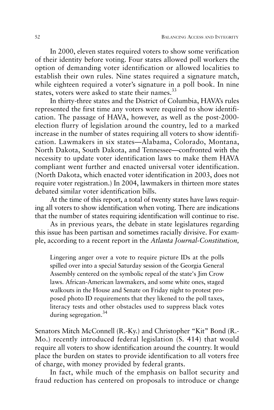In 2000, eleven states required voters to show some verification of their identity before voting. Four states allowed poll workers the option of demanding voter identification or allowed localities to establish their own rules. Nine states required a signature match, while eighteen required a voter's signature in a poll book. In nine states, voters were asked to state their names.<sup>33</sup>

In thirty-three states and the District of Columbia, HAVA's rules represented the first time any voters were required to show identification. The passage of HAVA, however, as well as the post-2000 election flurry of legislation around the country, led to a marked increase in the number of states requiring all voters to show identification. Lawmakers in six states—Alabama, Colorado, Montana, North Dakota, South Dakota, and Tennessee—confronted with the necessity to update voter identification laws to make them HAVA compliant went further and enacted universal voter identification. (North Dakota, which enacted voter identification in 2003, does not require voter registration.) In 2004, lawmakers in thirteen more states debated similar voter identification bills.

At the time of this report, a total of twenty states have laws requiring all voters to show identification when voting. There are indications that the number of states requiring identification will continue to rise.

As in previous years, the debate in state legislatures regarding this issue has been partisan and sometimes racially divisive. For example, according to a recent report in the *Atlanta Journal-Constitution,*

Lingering anger over a vote to require picture IDs at the polls spilled over into a special Saturday session of the Georgia General Assembly centered on the symbolic repeal of the state's Jim Crow laws. African-American lawmakers, and some white ones, staged walkouts in the House and Senate on Friday night to protest proposed photo ID requirements that they likened to the poll taxes, literacy tests and other obstacles used to suppress black votes during segregation.<sup>34</sup>

Senators Mitch McConnell (R.-Ky.) and Christopher "Kit" Bond (R.- Mo.) recently introduced federal legislation (S. 414) that would require all voters to show identification around the country. It would place the burden on states to provide identification to all voters free of charge, with money provided by federal grants.

In fact, while much of the emphasis on ballot security and fraud reduction has centered on proposals to introduce or change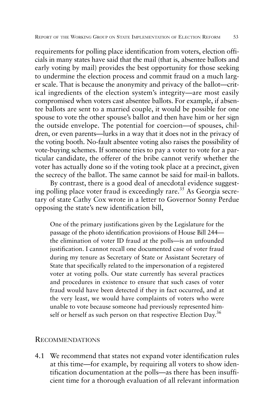requirements for polling place identification from voters, election officials in many states have said that the mail (that is, absentee ballots and early voting by mail) provides the best opportunity for those seeking to undermine the election process and commit fraud on a much larger scale. That is because the anonymity and privacy of the ballot—critical ingredients of the election system's integrity—are most easily compromised when voters cast absentee ballots. For example, if absentee ballots are sent to a married couple, it would be possible for one spouse to vote the other spouse's ballot and then have him or her sign the outside envelope. The potential for coercion—of spouses, children, or even parents—lurks in a way that it does not in the privacy of the voting booth. No-fault absentee voting also raises the possibility of vote-buying schemes. If someone tries to pay a voter to vote for a particular candidate, the offerer of the bribe cannot verify whether the voter has actually done so if the voting took place at a precinct, given the secrecy of the ballot. The same cannot be said for mail-in ballots.

By contrast, there is a good deal of anecdotal evidence suggesting polling place voter fraud is exceedingly rare.<sup>35</sup> As Georgia secretary of state Cathy Cox wrote in a letter to Governor Sonny Perdue opposing the state's new identification bill,

One of the primary justifications given by the Legislature for the passage of the photo identification provisions of House Bill 244 the elimination of voter ID fraud at the polls—is an unfounded justification. I cannot recall one documented case of voter fraud during my tenure as Secretary of State or Assistant Secretary of State that specifically related to the impersonation of a registered voter at voting polls. Our state currently has several practices and procedures in existence to ensure that such cases of voter fraud would have been detected if they in fact occurred, and at the very least, we would have complaints of voters who were unable to vote because someone had previously represented himself or herself as such person on that respective Election Day.<sup>36</sup>

### RECOMMENDATIONS

4.1 We recommend that states not expand voter identification rules at this time—for example, by requiring all voters to show identification documentation at the polls—as there has been insufficient time for a thorough evaluation of all relevant information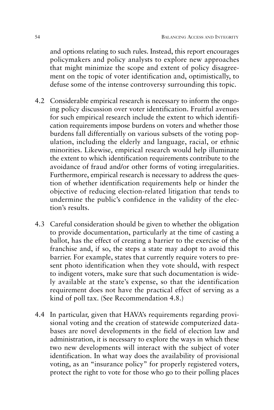and options relating to such rules. Instead, this report encourages policymakers and policy analysts to explore new approaches that might minimize the scope and extent of policy disagreement on the topic of voter identification and, optimistically, to defuse some of the intense controversy surrounding this topic.

- 4.2 Considerable empirical research is necessary to inform the ongoing policy discussion over voter identification. Fruitful avenues for such empirical research include the extent to which identification requirements impose burdens on voters and whether those burdens fall differentially on various subsets of the voting population, including the elderly and language, racial, or ethnic minorities. Likewise, empirical research would help illuminate the extent to which identification requirements contribute to the avoidance of fraud and/or other forms of voting irregularities. Furthermore, empirical research is necessary to address the question of whether identification requirements help or hinder the objective of reducing election-related litigation that tends to undermine the public's confidence in the validity of the election's results.
- 4.3 Careful consideration should be given to whether the obligation to provide documentation, particularly at the time of casting a ballot, has the effect of creating a barrier to the exercise of the franchise and, if so, the steps a state may adopt to avoid this barrier. For example, states that currently require voters to present photo identification when they vote should, with respect to indigent voters, make sure that such documentation is widely available at the state's expense, so that the identification requirement does not have the practical effect of serving as a kind of poll tax. (See Recommendation 4.8.)
- 4.4 In particular, given that HAVA's requirements regarding provisional voting and the creation of statewide computerized databases are novel developments in the field of election law and administration, it is necessary to explore the ways in which these two new developments will interact with the subject of voter identification. In what way does the availability of provisional voting, as an "insurance policy" for properly registered voters, protect the right to vote for those who go to their polling places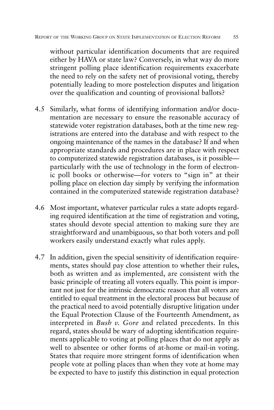without particular identification documents that are required either by HAVA or state law? Conversely, in what way do more stringent polling place identification requirements exacerbate the need to rely on the safety net of provisional voting, thereby potentially leading to more postelection disputes and litigation over the qualification and counting of provisional ballots?

- 4.5 Similarly, what forms of identifying information and/or documentation are necessary to ensure the reasonable accuracy of statewide voter registration databases, both at the time new registrations are entered into the database and with respect to the ongoing maintenance of the names in the database? If and when appropriate standards and procedures are in place with respect to computerized statewide registration databases, is it possible particularly with the use of technology in the form of electronic poll books or otherwise—for voters to "sign in" at their polling place on election day simply by verifying the information contained in the computerized statewide registration database?
- 4.6 Most important, whatever particular rules a state adopts regarding required identification at the time of registration and voting, states should devote special attention to making sure they are straightforward and unambiguous, so that both voters and poll workers easily understand exactly what rules apply.
- 4.7 In addition, given the special sensitivity of identification requirements, states should pay close attention to whether their rules, both as written and as implemented, are consistent with the basic principle of treating all voters equally. This point is important not just for the intrinsic democratic reason that all voters are entitled to equal treatment in the electoral process but because of the practical need to avoid potentially disruptive litigation under the Equal Protection Clause of the Fourteenth Amendment, as interpreted in *Bush v. Gore* and related precedents. In this regard, states should be wary of adopting identification requirements applicable to voting at polling places that do not apply as well to absentee or other forms of at-home or mail-in voting. States that require more stringent forms of identification when people vote at polling places than when they vote at home may be expected to have to justify this distinction in equal protection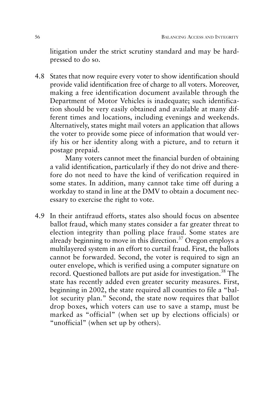litigation under the strict scrutiny standard and may be hardpressed to do so.

4.8 States that now require every voter to show identification should provide valid identification free of charge to all voters. Moreover, making a free identification document available through the Department of Motor Vehicles is inadequate; such identification should be very easily obtained and available at many different times and locations, including evenings and weekends. Alternatively, states might mail voters an application that allows the voter to provide some piece of information that would verify his or her identity along with a picture, and to return it postage prepaid.

Many voters cannot meet the financial burden of obtaining a valid identification, particularly if they do not drive and therefore do not need to have the kind of verification required in some states. In addition, many cannot take time off during a workday to stand in line at the DMV to obtain a document necessary to exercise the right to vote.

4.9 In their antifraud efforts, states also should focus on absentee ballot fraud, which many states consider a far greater threat to election integrity than polling place fraud. Some states are already beginning to move in this direction. $37$  Oregon employs a multilayered system in an effort to curtail fraud. First, the ballots cannot be forwarded. Second, the voter is required to sign an outer envelope, which is verified using a computer signature on record. Questioned ballots are put aside for investigation.<sup>38</sup> The state has recently added even greater security measures. First, beginning in 2002, the state required all counties to file a "ballot security plan." Second, the state now requires that ballot drop boxes, which voters can use to save a stamp, must be marked as "official" (when set up by elections officials) or "unofficial" (when set up by others).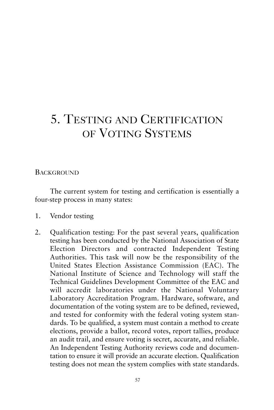# 5. TESTING AND CERTIFICATION OF VOTING SYSTEMS

## **BACKGROUND**

The current system for testing and certification is essentially a four-step process in many states:

- 1. Vendor testing
- 2. Qualification testing: For the past several years, qualification testing has been conducted by the National Association of State Election Directors and contracted Independent Testing Authorities. This task will now be the responsibility of the United States Election Assistance Commission (EAC). The National Institute of Science and Technology will staff the Technical Guidelines Development Committee of the EAC and will accredit laboratories under the National Voluntary Laboratory Accreditation Program. Hardware, software, and documentation of the voting system are to be defined, reviewed, and tested for conformity with the federal voting system standards. To be qualified, a system must contain a method to create elections, provide a ballot, record votes, report tallies, produce an audit trail, and ensure voting is secret, accurate, and reliable. An Independent Testing Authority reviews code and documentation to ensure it will provide an accurate election. Qualification testing does not mean the system complies with state standards.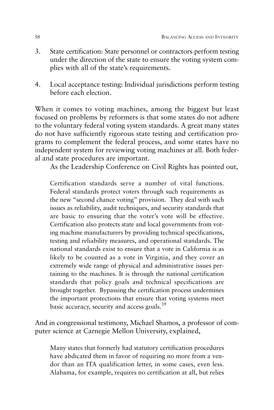- 3. State certification: State personnel or contractors perform testing under the direction of the state to ensure the voting system complies with all of the state's requirements.
- 4. Local acceptance testing: Individual jurisdictions perform testing before each election.

When it comes to voting machines, among the biggest but least focused on problems by reformers is that some states do not adhere to the voluntary federal voting system standards. A great many states do not have sufficiently rigorous state testing and certification programs to complement the federal process, and some states have no independent system for reviewing voting machines at all. Both federal and state procedures are important.

As the Leadership Conference on Civil Rights has pointed out,

Certification standards serve a number of vital functions. Federal standards protect voters through such requirements as the new "second chance voting" provision. They deal with such issues as reliability, audit techniques, and security standards that are basic to ensuring that the voter's vote will be effective. Certification also protects state and local governments from voting machine manufacturers by providing technical specifications, testing and reliability measures, and operational standards. The national standards exist to ensure that a vote in California is as likely to be counted as a vote in Virginia, and they cover an extremely wide range of physical and administrative issues pertaining to the machines. It is through the national certification standards that policy goals and technical specifications are brought together. Bypassing the certification process undermines the important protections that ensure that voting systems meet basic accuracy, security and access goals.<sup>39</sup>

And in congressional testimony, Michael Shamos, a professor of computer science at Carnegie Mellon University, explained,

Many states that formerly had statutory certification procedures have abdicated them in favor of requiring no more from a vendor than an ITA qualification letter, in some cases, even less. Alabama, for example, requires no certification at all, but relies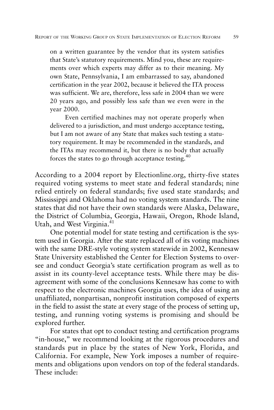on a written guarantee by the vendor that its system satisfies that State's statutory requirements. Mind you, these are requirements over which experts may differ as to their meaning. My own State, Pennsylvania, I am embarrassed to say, abandoned certification in the year 2002, because it believed the ITA process was sufficient. We are, therefore, less safe in 2004 than we were 20 years ago, and possibly less safe than we even were in the year 2000.

Even certified machines may not operate properly when delivered to a jurisdiction, and must undergo acceptance testing, but I am not aware of any State that makes such testing a statutory requirement. It may be recommended in the standards, and the ITAs may recommend it, but there is no body that actually forces the states to go through acceptance testing. $40$ 

According to a 2004 report by Electionline.org, thirty-five states required voting systems to meet state and federal standards; nine relied entirely on federal standards; five used state standards; and Mississippi and Oklahoma had no voting system standards. The nine states that did not have their own standards were Alaska, Delaware, the District of Columbia, Georgia, Hawaii, Oregon, Rhode Island, Utah, and West Virginia.<sup>41</sup>

One potential model for state testing and certification is the system used in Georgia. After the state replaced all of its voting machines with the same DRE-style voting system statewide in 2002, Kennesaw State University established the Center for Election Systems to oversee and conduct Georgia's state certification program as well as to assist in its county-level acceptance tests. While there may be disagreement with some of the conclusions Kennesaw has come to with respect to the electronic machines Georgia uses, the idea of using an unaffiliated, nonpartisan, nonprofit institution composed of experts in the field to assist the state at every stage of the process of setting up, testing, and running voting systems is promising and should be explored further.

For states that opt to conduct testing and certification programs "in-house," we recommend looking at the rigorous procedures and standards put in place by the states of New York, Florida, and California. For example, New York imposes a number of requirements and obligations upon vendors on top of the federal standards. These include: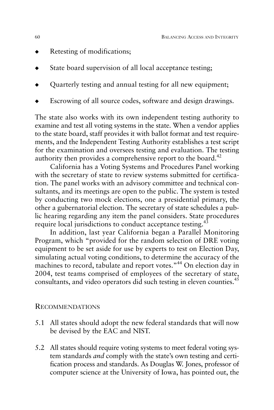- Retesting of modifications;
- State board supervision of all local acceptance testing;
- Quarterly testing and annual testing for all new equipment;
- Escrowing of all source codes, software and design drawings.

The state also works with its own independent testing authority to examine and test all voting systems in the state. When a vendor applies to the state board, staff provides it with ballot format and test requirements, and the Independent Testing Authority establishes a test script for the examination and oversees testing and evaluation. The testing authority then provides a comprehensive report to the board.<sup>42</sup>

California has a Voting Systems and Procedures Panel working with the secretary of state to review systems submitted for certification. The panel works with an advisory committee and technical consultants, and its meetings are open to the public. The system is tested by conducting two mock elections, one a presidential primary, the other a gubernatorial election. The secretary of state schedules a public hearing regarding any item the panel considers. State procedures require local jurisdictions to conduct acceptance testing.<sup>43</sup>

In addition, last year California began a Parallel Monitoring Program, which "provided for the random selection of DRE voting equipment to be set aside for use by experts to test on Election Day, simulating actual voting conditions, to determine the accuracy of the machines to record, tabulate and report votes."<sup>44</sup> On election day in 2004, test teams comprised of employees of the secretary of state, consultants, and video operators did such testing in eleven counties.<sup>45</sup>

### RECOMMENDATIONS

- 5.1 All states should adopt the new federal standards that will now be devised by the EAC and NIST.
- 5.2 All states should require voting systems to meet federal voting system standards *and* comply with the state's own testing and certification process and standards. As Douglas W. Jones, professor of computer science at the University of Iowa, has pointed out, the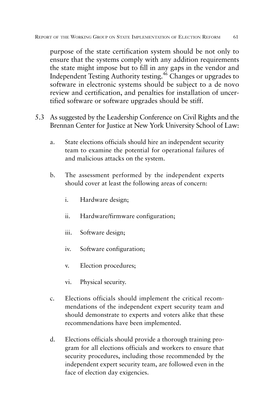purpose of the state certification system should be not only to ensure that the systems comply with any addition requirements the state might impose but to fill in any gaps in the vendor and Independent Testing Authority testing.<sup>46</sup> Changes or upgrades to software in electronic systems should be subject to a de novo review and certification, and penalties for installation of uncertified software or software upgrades should be stiff.

- 5.3 As suggested by the Leadership Conference on Civil Rights and the Brennan Center for Justice at New York University School of Law:
	- a. State elections officials should hire an independent security team to examine the potential for operational failures of and malicious attacks on the system.
	- b. The assessment performed by the independent experts should cover at least the following areas of concern:
		- i. Hardware design;
		- ii. Hardware/firmware configuration;
		- iii. Software design;
		- iv. Software configuration;
		- v. Election procedures;
		- vi. Physical security.
	- c. Elections officials should implement the critical recommendations of the independent expert security team and should demonstrate to experts and voters alike that these recommendations have been implemented.
	- d. Elections officials should provide a thorough training program for all elections officials and workers to ensure that security procedures, including those recommended by the independent expert security team, are followed even in the face of election day exigencies.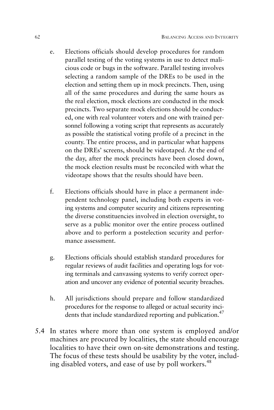- e. Elections officials should develop procedures for random parallel testing of the voting systems in use to detect malicious code or bugs in the software. Parallel testing involves selecting a random sample of the DREs to be used in the election and setting them up in mock precincts. Then, using all of the same procedures and during the same hours as the real election, mock elections are conducted in the mock precincts. Two separate mock elections should be conducted, one with real volunteer voters and one with trained personnel following a voting script that represents as accurately as possible the statistical voting profile of a precinct in the county. The entire process, and in particular what happens on the DREs' screens, should be videotaped. At the end of the day, after the mock precincts have been closed down, the mock election results must be reconciled with what the videotape shows that the results should have been.
- f. Elections officials should have in place a permanent independent technology panel, including both experts in voting systems and computer security and citizens representing the diverse constituencies involved in election oversight, to serve as a public monitor over the entire process outlined above and to perform a postelection security and performance assessment.
- g. Elections officials should establish standard procedures for regular reviews of audit facilities and operating logs for voting terminals and canvassing systems to verify correct operation and uncover any evidence of potential security breaches.
- h. All jurisdictions should prepare and follow standardized procedures for the response to alleged or actual security incidents that include standardized reporting and publication.<sup>47</sup>
- 5.4 In states where more than one system is employed and/or machines are procured by localities, the state should encourage localities to have their own on-site demonstrations and testing. The focus of these tests should be usability by the voter, including disabled voters, and ease of use by poll workers.<sup>48</sup>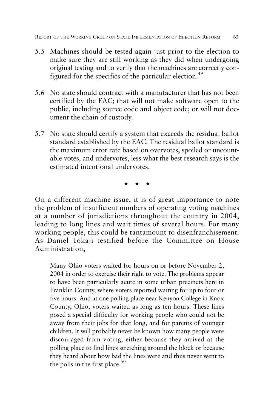- 5.5 Machines should be tested again just prior to the election to make sure they are still working as they did when undergoing original testing and to verify that the machines are correctly configured for the specifics of the particular election.<sup>49</sup>
- 5.6 No state should contract with a manufacturer that has not been certified by the EAC; that will not make software open to the public, including source code and object code; or will not document the chain of custody.
- 5.7 No state should certify a system that exceeds the residual ballot standard established by the EAC. The residual ballot standard is the maximum error rate based on overvotes, spoiled or uncountable votes, and undervotes, less what the best research says is the estimated intentional undervotes.

◆ ◆ ◆

On a different machine issue, it is of great importance to note the problem of insufficient numbers of operating voting machines at a number of jurisdictions throughout the country in 2004, leading to long lines and wait times of several hours. For many working people, this could be tantamount to disenfranchisement. As Daniel Tokaji testified before the Committee on House Administration,

Many Ohio voters waited for hours on or before November 2, 2004 in order to exercise their right to vote. The problems appear to have been particularly acute in some urban precincts here in Franklin County, where voters reported waiting for up to four or five hours. And at one polling place near Kenyon College in Knox County, Ohio, voters waited as long as ten hours. These lines posed a special difficulty for working people who could not be away from their jobs for that long, and for parents of younger children. It will probably never be known how many people were discouraged from voting, either because they arrived at the polling place to find lines stretching around the block or because they heard about how bad the lines were and thus never went to the polls in the first place. $50$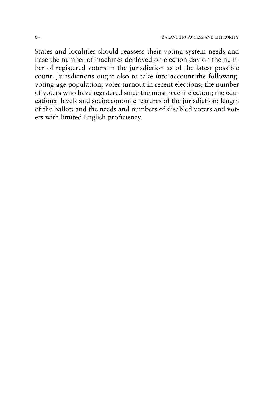States and localities should reassess their voting system needs and base the number of machines deployed on election day on the number of registered voters in the jurisdiction as of the latest possible count. Jurisdictions ought also to take into account the following: voting-age population; voter turnout in recent elections; the number of voters who have registered since the most recent election; the educational levels and socioeconomic features of the jurisdiction; length of the ballot; and the needs and numbers of disabled voters and voters with limited English proficiency.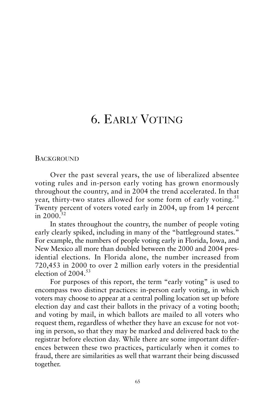## 6. EARLY VOTING

**BACKGROUND** 

Over the past several years, the use of liberalized absentee voting rules and in-person early voting has grown enormously throughout the country, and in 2004 the trend accelerated. In that year, thirty-two states allowed for some form of early voting.<sup>51</sup> Twenty percent of voters voted early in 2004, up from 14 percent in  $2000^{52}$ 

In states throughout the country, the number of people voting early clearly spiked, including in many of the "battleground states." For example, the numbers of people voting early in Florida, Iowa, and New Mexico all more than doubled between the 2000 and 2004 presidential elections. In Florida alone, the number increased from 720,453 in 2000 to over 2 million early voters in the presidential election of  $2004<sup>53</sup>$ 

For purposes of this report, the term "early voting" is used to encompass two distinct practices: in-person early voting, in which voters may choose to appear at a central polling location set up before election day and cast their ballots in the privacy of a voting booth; and voting by mail, in which ballots are mailed to all voters who request them, regardless of whether they have an excuse for not voting in person, so that they may be marked and delivered back to the registrar before election day. While there are some important differences between these two practices, particularly when it comes to fraud, there are similarities as well that warrant their being discussed together.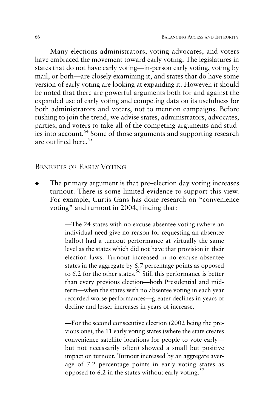Many elections administrators, voting advocates, and voters have embraced the movement toward early voting. The legislatures in states that do not have early voting—in-person early voting, voting by mail, or both—are closely examining it, and states that do have some version of early voting are looking at expanding it. However, it should be noted that there are powerful arguments both for and against the expanded use of early voting and competing data on its usefulness for both administrators and voters, not to mention campaigns. Before rushing to join the trend, we advise states, administrators, advocates, parties, and voters to take all of the competing arguments and studies into account.54 Some of those arguments and supporting research are outlined here  $55$ 

## BENEFITS OF EARLY VOTING

The primary argument is that pre–election day voting increases turnout. There is some limited evidence to support this view. For example, Curtis Gans has done research on "convenience voting" and turnout in 2004, finding that:

> —The 24 states with no excuse absentee voting (where an individual need give no reason for requesting an absentee ballot) had a turnout performance at virtually the same level as the states which did not have that provision in their election laws. Turnout increased in no excuse absentee states in the aggregate by 6.7 percentage points as opposed to 6.2 for the other states.<sup>56</sup> Still this performance is better than every previous election—both Presidential and midterm—when the states with no absentee voting in each year recorded worse performances—greater declines in years of decline and lesser increases in years of increase.

> —For the second consecutive election (2002 being the previous one), the 11 early voting states (where the state creates convenience satellite locations for people to vote early but not necessarily often) showed a small but positive impact on turnout. Turnout increased by an aggregate average of 7.2 percentage points in early voting states as opposed to 6.2 in the states without early voting.<sup>57</sup>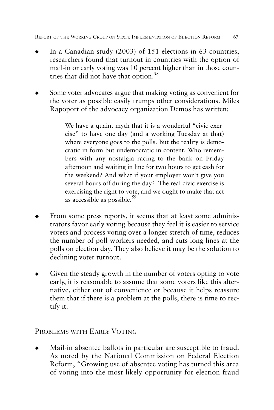- In a Canadian study  $(2003)$  of 151 elections in 63 countries, researchers found that turnout in countries with the option of mail-in or early voting was 10 percent higher than in those countries that did not have that option.<sup>58</sup>
- Some voter advocates argue that making voting as convenient for the voter as possible easily trumps other considerations. Miles Rapoport of the advocacy organization Demos has written:

We have a quaint myth that it is a wonderful "civic exercise" to have one day (and a working Tuesday at that) where everyone goes to the polls. But the reality is democratic in form but undemocratic in content. Who remembers with any nostalgia racing to the bank on Friday afternoon and waiting in line for two hours to get cash for the weekend? And what if your employer won't give you several hours off during the day? The real civic exercise is exercising the right to vote, and we ought to make that act as accessible as possible.<sup>59</sup>

- From some press reports, it seems that at least some administrators favor early voting because they feel it is easier to service voters and process voting over a longer stretch of time, reduces the number of poll workers needed, and cuts long lines at the polls on election day. They also believe it may be the solution to declining voter turnout.
- Given the steady growth in the number of voters opting to vote early, it is reasonable to assume that some voters like this alternative, either out of convenience or because it helps reassure them that if there is a problem at the polls, there is time to rectify it.

## PROBLEMS WITH EARLY VOTING

Mail-in absentee ballots in particular are susceptible to fraud. As noted by the National Commission on Federal Election Reform, "Growing use of absentee voting has turned this area of voting into the most likely opportunity for election fraud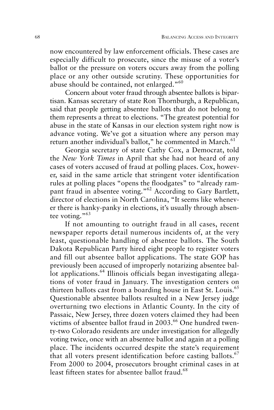now encountered by law enforcement officials. These cases are especially difficult to prosecute, since the misuse of a voter's ballot or the pressure on voters occurs away from the polling place or any other outside scrutiny. These opportunities for abuse should be contained, not enlarged."<sup>60</sup>

Concern about voter fraud through absentee ballots is bipartisan. Kansas secretary of state Ron Thornburgh, a Republican, said that people getting absentee ballots that do not belong to them represents a threat to elections. "The greatest potential for abuse in the state of Kansas in our election system right now is advance voting. We've got a situation where any person may return another individual's ballot," he commented in March.<sup>61</sup>

Georgia secretary of state Cathy Cox, a Democrat, told the *New York Times* in April that she had not heard of any cases of voters accused of fraud at polling places. Cox, however, said in the same article that stringent voter identification rules at polling places "opens the floodgates" to "already rampant fraud in absentee voting."<sup>62</sup> According to Gary Bartlett, director of elections in North Carolina, "It seems like whenever there is hanky-panky in elections, it's usually through absentee voting."<sup>63</sup>

If not amounting to outright fraud in all cases, recent newspaper reports detail numerous incidents of, at the very least, questionable handling of absentee ballots. The South Dakota Republican Party hired eight people to register voters and fill out absentee ballot applications. The state GOP has previously been accused of improperly notarizing absentee ballot applications.<sup>64</sup> Illinois officials began investigating allegations of voter fraud in January. The investigation centers on thirteen ballots cast from a boarding house in East St. Louis.<sup>65</sup> Questionable absentee ballots resulted in a New Jersey judge overturning two elections in Atlantic County. In the city of Passaic, New Jersey, three dozen voters claimed they had been victims of absentee ballot fraud in 2003.<sup>66</sup> One hundred twenty-two Colorado residents are under investigation for allegedly voting twice, once with an absentee ballot and again at a polling place. The incidents occurred despite the state's requirement that all voters present identification before casting ballots.<sup>67</sup> From 2000 to 2004, prosecutors brought criminal cases in at least fifteen states for absentee ballot fraud.<sup>68</sup>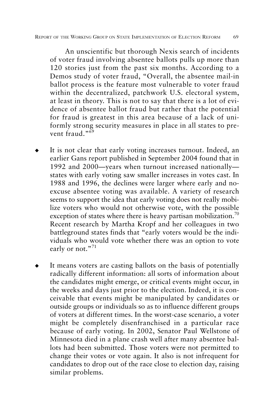An unscientific but thorough Nexis search of incidents of voter fraud involving absentee ballots pulls up more than 120 stories just from the past six months. According to a Demos study of voter fraud, "Overall, the absentee mail-in ballot process is the feature most vulnerable to voter fraud within the decentralized, patchwork U.S. electoral system, at least in theory. This is not to say that there is a lot of evidence of absentee ballot fraud but rather that the potential for fraud is greatest in this area because of a lack of uniformly strong security measures in place in all states to prevent fraud."<sup>69</sup>

- It is not clear that early voting increases turnout. Indeed, an earlier Gans report published in September 2004 found that in 1992 and 2000—years when turnout increased nationally states with early voting saw smaller increases in votes cast. In 1988 and 1996, the declines were larger where early and noexcuse absentee voting was available. A variety of research seems to support the idea that early voting does not really mobilize voters who would not otherwise vote, with the possible exception of states where there is heavy partisan mobilization.<sup>70</sup> Recent research by Martha Kropf and her colleagues in two battleground states finds that "early voters would be the individuals who would vote whether there was an option to vote early or not."<sup>71</sup>
- It means voters are casting ballots on the basis of potentially radically different information: all sorts of information about the candidates might emerge, or critical events might occur, in the weeks and days just prior to the election. Indeed, it is conceivable that events might be manipulated by candidates or outside groups or individuals so as to influence different groups of voters at different times. In the worst-case scenario, a voter might be completely disenfranchised in a particular race because of early voting. In 2002, Senator Paul Wellstone of Minnesota died in a plane crash well after many absentee ballots had been submitted. Those voters were not permitted to change their votes or vote again. It also is not infrequent for candidates to drop out of the race close to election day, raising similar problems.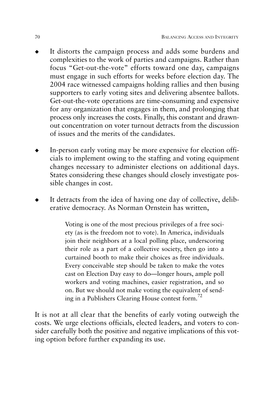- It distorts the campaign process and adds some burdens and complexities to the work of parties and campaigns. Rather than focus "Get-out-the-vote" efforts toward one day, campaigns must engage in such efforts for weeks before election day. The 2004 race witnessed campaigns holding rallies and then busing supporters to early voting sites and delivering absentee ballots. Get-out-the-vote operations are time-consuming and expensive for any organization that engages in them, and prolonging that process only increases the costs. Finally, this constant and drawnout concentration on voter turnout detracts from the discussion of issues and the merits of the candidates.
- In-person early voting may be more expensive for election officials to implement owing to the staffing and voting equipment changes necessary to administer elections on additional days. States considering these changes should closely investigate possible changes in cost.
- It detracts from the idea of having one day of collective, deliberative democracy. As Norman Ornstein has written,

Voting is one of the most precious privileges of a free society (as is the freedom not to vote). In America, individuals join their neighbors at a local polling place, underscoring their role as a part of a collective society, then go into a curtained booth to make their choices as free individuals. Every conceivable step should be taken to make the votes cast on Election Day easy to do—longer hours, ample poll workers and voting machines, easier registration, and so on. But we should not make voting the equivalent of sending in a Publishers Clearing House contest form.72

It is not at all clear that the benefits of early voting outweigh the costs. We urge elections officials, elected leaders, and voters to consider carefully both the positive and negative implications of this voting option before further expanding its use.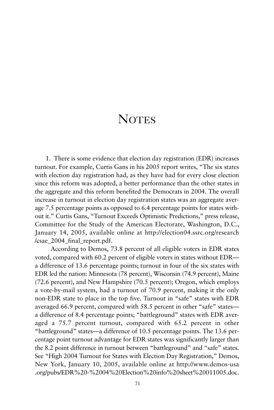## **NOTES**

1. There is some evidence that election day registration (EDR) increases turnout. For example, Curtis Gans in his 2005 report writes, "The six states with election day registration had, as they have had for every close election since this reform was adopted, a better performance than the other states in the aggregate and this reform benefited the Democrats in 2004. The overall increase in turnout in election day registration states was an aggregate average 7.5 percentage points as opposed to 6.4 percentage points for states without it." Curtis Gans, "Turnout Exceeds Optimistic Predictions," press release, Committee for the Study of the American Electorate, Washington, D.C., January 14, 2005, available online at http://election04.ssrc.org/research /csae\_2004\_final\_report.pdf.

According to Demos, 73.8 percent of all eligible voters in EDR states voted, compared with 60.2 percent of eligible voters in states without EDR a difference of 13.6 percentage points; turnout in four of the six states with EDR led the nation: Minnesota (78 percent), Wisconsin (74.9 percent), Maine (72.6 percent), and New Hampshire (70.5 percent); Oregon, which employs a vote-by-mail system, had a turnout of 70.9 percent, making it the only non-EDR state to place in the top five. Turnout in "safe" states with EDR averaged 66.9 percent, compared with 58.5 percent in other "safe" states a difference of 8.4 percentage points; "battleground" states with EDR averaged a 75.7 percent turnout, compared with 65.2 percent in other "battleground" states—a difference of 10.5 percentage points. The 13.6 percentage point turnout advantage for EDR states was significantly larger than the 8.2 point difference in turnout between "battleground" and "safe" states. See "High 2004 Turnout for States with Election Day Registration," Demos, New York, January 10, 2005, available online at http://www.demos-usa .org/pubs/EDR%20-%2004%20Election%20info%20sheet%20011005.doc.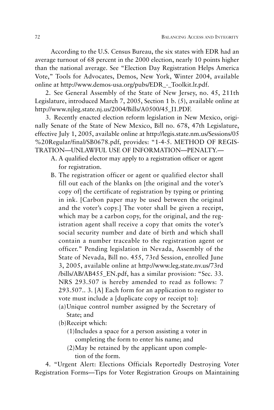According to the U.S. Census Bureau, the six states with EDR had an average turnout of 68 percent in the 2000 election, nearly 10 points higher than the national average. See "Election Day Registration Helps America Vote," Tools for Advocates, Demos, New York, Winter 2004, available online at http://www.demos-usa.org/pubs/EDR\_-\_Toolkit.lr.pdf.

2. See General Assembly of the State of New Jersey, no. 45, 211th Legislature, introduced March 7, 2005, Section 1 b. (5), available online at http://www.njleg.state.nj.us/2004/Bills/A0500/45\_I1.PDF.

3. Recently enacted election reform legislation in New Mexico, originally Senate of the State of New Mexico, Bill no. 678, 47th Legislature, effective July 1, 2005, available online at http://legis.state.nm.us/Sessions/05 %20Regular/final/SB0678.pdf, provides: "1-4-5. METHOD OF REGIS-TRATION—UNLAWFUL USE OF INFORMATION—PENALTY.—

- A. A qualified elector may apply to a registration officer or agent for registration.
- B. The registration officer or agent or qualified elector shall fill out each of the blanks on [the original and the voter's copy of] the certificate of registration by typing or printing in ink. [Carbon paper may be used between the original and the voter's copy.] The voter shall be given a receipt, which may be a carbon copy, for the original, and the registration agent shall receive a copy that omits the voter's social security number and date of birth and which shall contain a number traceable to the registration agent or officer." Pending legislation in Nevada, Assembly of the State of Nevada, Bill no. 455, 73rd Session, enrolled June 3, 2005, available online at http://www.leg.state.nv.us/73rd /bills/AB/AB455\_EN.pdf, has a similar provision: "Sec. 33. NRS 293.507 is hereby amended to read as follows: 7 293.507.. 3. [A] Each form for an application to register to vote must include a [duplicate copy or receipt to]:
	- (a)Unique control number assigned by the Secretary of State; and

(b)Receipt which:

- (1)Includes a space for a person assisting a voter in completing the form to enter his name; and
- (2)May be retained by the applicant upon completion of the form.

4. "Urgent Alert: Elections Officials Reportedly Destroying Voter Registration Forms—Tips for Voter Registration Groups on Maintaining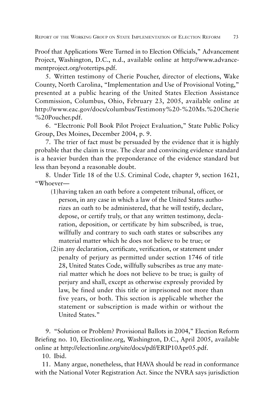Proof that Applications Were Turned in to Election Officials," Advancement Project, Washington, D.C., n.d., available online at http://www.advancementproject.org/votertips.pdf.

5. Written testimony of Cherie Poucher, director of elections, Wake County, North Carolina, "Implementation and Use of Provisional Voting," presented at a public hearing of the United States Election Assistance Commission, Columbus, Ohio, February 23, 2005, available online at http://www.eac.gov/docs/columbus/Testimony%20-%20Ms.%20Cherie %20Poucher.pdf.

6. "Electronic Poll Book Pilot Project Evaluation," State Public Policy Group, Des Moines, December 2004, p. 9.

7. The trier of fact must be persuaded by the evidence that it is highly probable that the claim is true. The clear and convincing evidence standard is a heavier burden than the preponderance of the evidence standard but less than beyond a reasonable doubt.

8. Under Title 18 of the U.S. Criminal Code, chapter 9, section 1621, "Whoever—

- (1)having taken an oath before a competent tribunal, officer, or person, in any case in which a law of the United States authorizes an oath to be administered, that he will testify, declare, depose, or certify truly, or that any written testimony, declaration, deposition, or certificate by him subscribed, is true, willfully and contrary to such oath states or subscribes any material matter which he does not believe to be true; or
- (2)in any declaration, certificate, verification, or statement under penalty of perjury as permitted under section 1746 of title 28, United States Code, willfully subscribes as true any material matter which he does not believe to be true; is guilty of perjury and shall, except as otherwise expressly provided by law, be fined under this title or imprisoned not more than five years, or both. This section is applicable whether the statement or subscription is made within or without the United States."

9. "Solution or Problem? Provisional Ballots in 2004," Election Reform Briefing no. 10, Electionline.org, Washington, D.C., April 2005, available online at http://electionline.org/site/docs/pdf/ERIP10Apr05.pdf.

10. Ibid.

11. Many argue, nonetheless, that HAVA should be read in conformance with the National Voter Registration Act. Since the NVRA says jurisdiction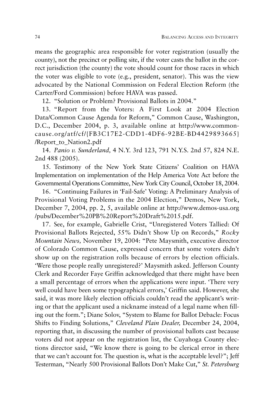means the geographic area responsible for voter registration (usually the county), not the precinct or polling site, if the voter casts the ballot in the correct jurisdiction (the county) the vote should count for those races in which the voter was eligible to vote (e.g., president, senator). This was the view advocated by the National Commission on Federal Election Reform (the Carter/Ford Commission) before HAVA was passed.

12. "Solution or Problem? Provisional Ballots in 2004."

13. "Report from the Voters: A First Look at 2004 Election Data/Common Cause Agenda for Reform," Common Cause, Washington, D.C., December 2004, p. 3, available online at http://www.commoncause.org/atf/cf/{FB3C17E2-CDD1-4DF6-92BE-BD4429893665} /Report to Nation2.pdf

14. *Panio v. Sunderland,* 4 N.Y. 3rd 123, 791 N.Y.S. 2nd 57, 824 N.E. 2nd 488 (2005).

15. Testimony of the New York State Citizens' Coalition on HAVA Implementation on implementation of the Help America Vote Act before the Governmental Operations Committee, New York City Council, October 18, 2004.

16. "Continuing Failures in 'Fail-Safe' Voting: A Preliminary Analysis of Provisional Voting Problems in the 2004 Election," Demos, New York, December 7, 2004, pp. 2, 5, available online at http://www.demos-usa.org /pubs/December%20PB%20Report%20Draft%2015.pdf.

17. See, for example, Gabrielle Crist, "Unregistered Voters Tallied: Of Provisional Ballots Rejected, 55% Didn't Show Up on Records," *Rocky Mountain News,* November 19, 2004: "Pete Maysmith, executive director of Colorado Common Cause, expressed concern that some voters didn't show up on the registration rolls because of errors by election officials. 'Were those people really unregistered?' Maysmith asked. Jefferson County Clerk and Recorder Faye Griffin acknowledged that there might have been a small percentage of errors when the applications were input. 'There very well could have been some typographical errors,' Griffin said. However, she said, it was more likely election officials couldn't read the applicant's writing or that the applicant used a nickname instead of a legal name when filling out the form."; Diane Solov, "System to Blame for Ballot Debacle: Focus Shifts to Finding Solutions," *Cleveland Plain Dealer,* December 24, 2004, reporting that, in discussing the number of provisional ballots cast because voters did not appear on the registration list, the Cuyahoga County elections director said, "We know there is going to be clerical error in there that we can't account for. The question is, what is the acceptable level?"; Jeff Testerman, "Nearly 500 Provisional Ballots Don't Make Cut," *St. Petersburg*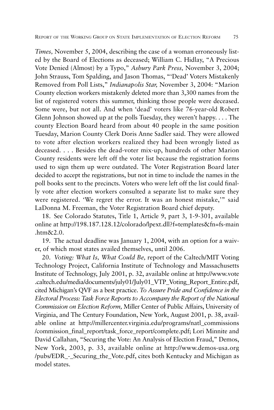*Times,* November 5, 2004, describing the case of a woman erroneously listed by the Board of Elections as deceased; William C. Hidlay, "A Precious Vote Denied (Almost) by a Typo," *Asbury Park Press,* November 3, 2004; John Strauss, Tom Spalding, and Jason Thomas, "'Dead' Voters Mistakenly Removed from Poll Lists," *Indianapolis Star,* November 3, 2004: "Marion County election workers mistakenly deleted more than 3,300 names from the list of registered voters this summer, thinking those people were deceased. Some were, but not all. And when 'dead' voters like 76-year-old Robert Glenn Johnson showed up at the polls Tuesday, they weren't happy. . . . The county Election Board heard from about 40 people in the same position Tuesday, Marion County Clerk Doris Anne Sadler said. They were allowed to vote after election workers realized they had been wrongly listed as deceased. . . . Besides the dead-voter mix-up, hundreds of other Marion County residents were left off the voter list because the registration forms used to sign them up were outdated. The Voter Registration Board later decided to accept the registrations, but not in time to include the names in the poll books sent to the precincts. Voters who were left off the list could finally vote after election workers consulted a separate list to make sure they were registered. 'We regret the error. It was an honest mistake,'" said LaDonna M. Freeman, the Voter Registration Board chief deputy.

18. See Colorado Statutes, Title 1, Article 9, part 3, 1-9-301, available online at http://198.187.128.12/colorado/lpext.dll?f=templates&fn=fs-main .htm&2.0.

19. The actual deadline was January 1, 2004, with an option for a waiver, of which most states availed themselves, until 2006.

20. *Voting: What Is, What Could Be,* report of the Caltech/MIT Voting Technology Project, California Institute of Technology and Massachusetts Institute of Technology, July 2001, p. 32, available online at http://www.vote .caltech.edu/media/documents/july01/July01\_VTP\_Voting\_Report\_Entire.pdf, cited Michigan's QVF as a best practice. *To Assure Pride and Confidence in the Electoral Process: Task Force Reports to Accompany the Report of the National Commission on Election Reform,* Miller Center of Public Affairs, University of Virginia, and The Century Foundation, New York, August 2001, p. 38, available online at http://millercenter.virginia.edu/programs/natl\_commissions /commission\_final\_report/task\_force\_report/complete.pdf; Lori Minnite and David Callahan, "Securing the Vote: An Analysis of Election Fraud," Demos, New York, 2003, p. 33, available online at http://www.demos-usa.org /pubs/EDR\_-\_Securing\_the\_Vote.pdf, cites both Kentucky and Michigan as model states.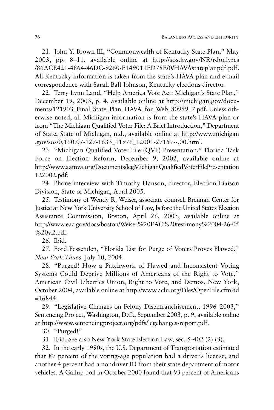21. John Y. Brown III, "Commonwealth of Kentucky State Plan," May 2003, pp. 8–11, available online at http://sos.ky.gov/NR/rdonlyres /86ACE421-4864-46DC-9260-F149011ED78E/0/HAVAstateplanpdf.pdf. All Kentucky information is taken from the state's HAVA plan and e-mail correspondence with Sarah Ball Johnson, Kentucky elections director.

22. Terry Lynn Land, "Help America Vote Act: Michigan's State Plan," December 19, 2003, p. 4, available online at http://michigan.gov/documents/121903\_Final\_State\_Plan\_HAVA\_for\_Web\_80959\_7.pdf. Unless otherwise noted, all Michigan information is from the state's HAVA plan or from "The Michigan Qualified Voter File: A Brief Introduction," Department of State, State of Michigan, n.d., available online at http://www.michigan .gov/sos/0,1607,7-127-1633\_11976\_12001-27157--,00.html.

23. "Michigan Qualified Voter File (QVF) Presentation," Florida Task Force on Election Reform, December 9, 2002, available online at http://www.aamva.org/Documents/legMichiganQualifiedVoterFilePresentation 122002.pdf.

24. Phone interview with Timothy Hanson, director, Election Liaison Division, State of Michigan, April 2005.

25. Testimony of Wendy R. Weiser, associate counsel, Brennan Center for Justice at New York University School of Law, before the United States Election Assistance Commission, Boston, April 26, 2005, available online at http://www.eac.gov/docs/boston/Weiser%20EAC%20testimony%2004-26-05 %20v.2.pdf.

26. Ibid.

27. Ford Fessenden, "Florida List for Purge of Voters Proves Flawed," *New York Times,* July 10, 2004.

28. "Purged! How a Patchwork of Flawed and Inconsistent Voting Systems Could Deprive Millions of Americans of the Right to Vote," American Civil Liberties Union, Right to Vote, and Demos, New York, October 2004, available online at http://www.aclu.org/Files/OpenFile.cfm?id  $=16844.$ 

29. "Legislative Changes on Felony Disenfranchisement, 1996–2003," Sentencing Project, Washington, D.C., September 2003, p. 9, available online at http://www.sentencingproject.org/pdfs/legchanges-report.pdf.

30. "Purged!"

31. Ibid. See also New York State Election Law, sec. 5-402 (2) (3).

32. In the early 1990s, the U.S. Department of Transportation estimated that 87 percent of the voting-age population had a driver's license, and another 4 percent had a nondriver ID from their state department of motor vehicles. A Gallup poll in October 2000 found that 93 percent of Americans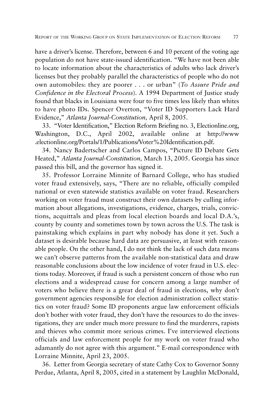have a driver's license. Therefore, between 6 and 10 percent of the voting age population do not have state-issued identification. "We have not been able to locate information about the characteristics of adults who lack driver's licenses but they probably parallel the characteristics of people who do not own automobiles: they are poorer . . . or urban" (*To Assure Pride and Confidence in the Electoral Process*). A 1994 Department of Justice study found that blacks in Louisiana were four to five times less likely than whites to have photo IDs. Spencer Overton, "Voter ID Supporters Lack Hard Evidence," *Atlanta Journal-Constitution,* April 8, 2005.

33. "Voter Identification," Election Reform Briefing no. 3, Electionline.org, Washington, D.C., April 2002, available online at http://www .electionline.org/Portals/1/Publications/Voter%20Identification.pdf.

34. Nancy Badertscher and Carlos Campos, "Picture ID Debate Gets Heated," *Atlanta Journal-Constitution,* March 13, 2005. Georgia has since passed this bill, and the governor has signed it.

35. Professor Lorraine Minnite of Barnard College, who has studied voter fraud extensively, says, "There are no reliable, officially compiled national or even statewide statistics available on voter fraud. Researchers working on voter fraud must construct their own datasets by culling information about allegations, investigations, evidence, charges, trials, convictions, acquittals and pleas from local election boards and local D.A.'s, county by county and sometimes town by town across the U.S. The task is painstaking which explains in part why nobody has done it yet. Such a dataset is desirable because hard data are persuasive, at least with reasonable people. On the other hand, I do not think the lack of such data means we can't observe patterns from the available non-statistical data and draw reasonable conclusions about the low incidence of voter fraud in U.S. elections today. Moreover, if fraud is such a persistent concern of those who run elections and a widespread cause for concern among a large number of voters who believe there is a great deal of fraud in elections, why don't government agencies responsible for election administration collect statistics on voter fraud? Some ID proponents argue law enforcement officials don't bother with voter fraud, they don't have the resources to do the investigations, they are under much more pressure to find the murderers, rapists and thieves who commit more serious crimes. I've interviewed elections officials and law enforcement people for my work on voter fraud who adamantly do not agree with this argument." E-mail correspondence with Lorraine Minnite, April 23, 2005.

36. Letter from Georgia secretary of state Cathy Cox to Governor Sonny Perdue, Atlanta, April 8, 2005, cited in a statement by Laughlin McDonald,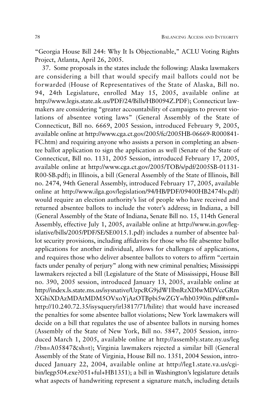"Georgia House Bill 244: Why It Is Objectionable," ACLU Voting Rights Project, Atlanta, April 26, 2005.

37. Some proposals in the states include the following: Alaska lawmakers are considering a bill that would specify mail ballots could not be forwarded (House of Representatives of the State of Alaska, Bill no. 94, 24th Legislature, enrolled May 15, 2005, available online at http://www.legis.state.ak.us/PDF/24/Bills/HB0094Z.PDF); Connecticut lawmakers are considering "greater accountability of campaigns to prevent violations of absentee voting laws" (General Assembly of the State of Connecticut, Bill no. 6669, 2005 Session, introduced February 9, 2005, available online at http://www.cga.ct.gov/2005/fc/2005HB-06669-R000841- FC.htm) and requiring anyone who assists a person in completing an absentee ballot application to sign the application as well (Senate of the State of Connecticut, Bill no. 1131, 2005 Session, introduced February 17, 2005, available online at http://www.cga.ct.gov/2005/TOB/s/pdf/2005SB-01131- R00-SB.pdf); in Illinois, a bill (General Assembly of the State of Illinois, Bill no. 2474, 94th General Assembly, introduced February 17, 2005, available online at http://www.ilga.gov/legislation/94/HB/PDF/09400HB2474lv.pdf) would require an election authority's list of people who have received and returned absentee ballots to include the voter's address; in Indiana, a bill (General Assembly of the State of Indiana, Senate Bill no. 15, 114th General Assembly, effective July 1, 2005, available online at http://www.in.gov/legislative/bills/2005/PDF/SE/SE0015.1.pdf) includes a number of absentee ballot security provisions, including affidavits for those who file absentee ballot applications for another individual, allows for challenges of applications, and requires those who deliver absentee ballots to voters to affirm "certain facts under penalty of perjury" along with new criminal penalties; Mississippi lawmakers rejected a bill (Legislature of the State of Mississippi, House Bill no. 390, 2005 session, introduced January 13, 2005, available online at http://index.ls.state.ms.us/isysnative/UzpcRG9jdW1lbnRzXDIwMDVccGRm XGhiXDAzMDAtMDM5OVxoYjAzOTBpbi5wZGY=/hb0390in.pdf#xml= http://10.240.72.35/isysquery/irl3817/71/hilite) that would have increased the penalties for some absentee ballot violations; New York lawmakers will decide on a bill that regulates the use of absentee ballots in nursing homes (Assembly of the State of New York, Bill no. 5847, 2005 Session, introduced March 1, 2005, available online at http://assembly.state.ny.us/leg /?bn=A05847&sh=t); Virginia lawmakers rejected a similar bill (General Assembly of the State of Virginia, House Bill no. 1351, 2004 Session, introduced January 22, 2004, available online at http://leg1.state.va.us/cgibin/legp504.exe?051+ful+HB1351); a bill in Washington's legislature details what aspects of handwriting represent a signature match, including details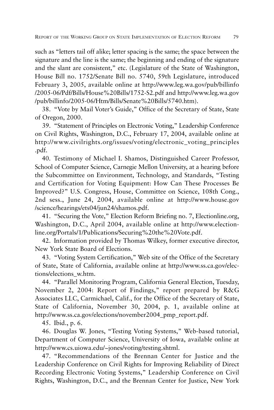such as "letters tail off alike; letter spacing is the same; the space between the signature and the line is the same; the beginning and ending of the signature and the slant are consistent," etc. (Legislature of the State of Washington, House Bill no. 1752/Senate Bill no. 5740, 59th Legislature, introduced February 3, 2005, available online at http://www.leg.wa.gov/pub/billinfo /2005-06/Pdf/Bills/House%20Bills/1752-S2.pdf and http://www.leg.wa.gov /pub/billinfo/2005-06/Htm/Bills/Senate%20Bills/5740.htm).

38. "Vote by Mail Voter's Guide," Office of the Secretary of State, State of Oregon, 2000.

39. "Statement of Principles on Electronic Voting," Leadership Conference on Civil Rights, Washington, D.C., February 17, 2004, available online at http://www.civilrights.org/issues/voting/electronic\_voting\_principles .pdf.

40. Testimony of Michael I. Shamos, Distinguished Career Professor, School of Computer Science, Carnegie Mellon University, at a hearing before the Subcommittee on Environment, Technology, and Standards, "Testing and Certification for Voting Equipment: How Can These Processes Be Improved?" U.S. Congress, House, Committee on Science, 108th Cong., 2nd sess., June 24, 2004, available online at http://www.house.gov /science/hearings/ets04/jun24/shamos.pdf.

41. "Securing the Vote," Election Reform Briefing no. 7, Electionline.org, Washington, D.C., April 2004, available online at http://www.electionline.org/Portals/1/Publications/Securing%20the%20Vote.pdf.

42. Information provided by Thomas Wilkey, former executive director, New York State Board of Elections.

43. "Voting System Certification," Web site of the Office of the Secretary of State, State of California, available online at http://www.ss.ca.gov/elections/elections\_w.htm.

44. "Parallel Monitoring Program, California General Election, Tuesday, November 2, 2004: Report of Findings," report prepared by R&G Associates LLC, Carmichael, Calif., for the Office of the Secretary of State, State of California, November 30, 2004, p. 1, available online at http://www.ss.ca.gov/elections/november2004\_pmp\_report.pdf.

45. Ibid., p. 6.

46. Douglas W. Jones, "Testing Voting Systems," Web-based tutorial, Department of Computer Science, University of Iowa, available online at http://www.cs.uiowa.edu/~jones/voting/testing.shtml.

47. "Recommendations of the Brennan Center for Justice and the Leadership Conference on Civil Rights for Improving Reliability of Direct Recording Electronic Voting Systems," Leadership Conference on Civil Rights, Washington, D.C., and the Brennan Center for Justice, New York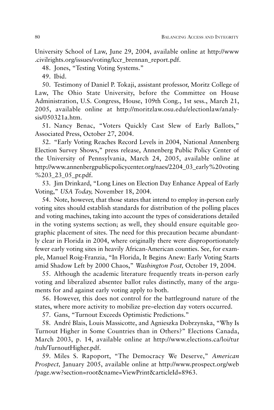University School of Law, June 29, 2004, available online at http://www .civilrights.org/issues/voting/lccr\_brennan\_report.pdf.

48. Jones, "Testing Voting Systems."

49. Ibid.

50. Testimony of Daniel P. Tokaji, assistant professor, Moritz College of Law, The Ohio State University, before the Committee on House Administration, U.S. Congress, House, 109th Cong., 1st sess., March 21, 2005, available online at http://moritzlaw.osu.edu/electionlaw/analysis/050321a.htm.

51. Nancy Benac, "Voters Quickly Cast Slew of Early Ballots," Associated Press, October 27, 2004.

52. "Early Voting Reaches Record Levels in 2004, National Annenberg Election Survey Shows," press release, Annenberg Public Policy Center of the University of Pennsylvania, March 24, 2005, available online at http://www.annenbergpublicpolicycenter.org/naes/2204\_03\_early%20voting %203\_23\_05\_pr.pdf.

53. Jim Drinkard, "Long Lines on Election Day Enhance Appeal of Early Voting," *USA Today,* November 18, 2004.

54. Note, however, that those states that intend to employ in-person early voting sites should establish standards for distribution of the polling places and voting machines, taking into account the types of considerations detailed in the voting systems section; as well, they should ensure equitable geographic placement of sites. The need for this precaution became abundantly clear in Florida in 2004, where originally there were disproportionately fewer early voting sites in heavily African-American counties. See, for example, Manuel Roig-Franzia, "In Florida, It Begins Anew: Early Voting Starts amid Shadow Left by 2000 Chaos," *Washington Post,* October 19, 2004.

55. Although the academic literature frequently treats in-person early voting and liberalized absentee ballot rules distinctly, many of the arguments for and against early voting apply to both.

56. However, this does not control for the battleground nature of the states, where more activity to mobilize pre–election day voters occurred.

57. Gans, "Turnout Exceeds Optimistic Predictions."

58. André Blais, Louis Massicotte, and Agnieszka Dobrzynska, "Why Is Turnout Higher in Some Countries than in Others?" Elections Canada, March 2003, p. 14, available online at http://www.elections.ca/loi/tur /tuh/TurnoutHigher.pdf.

59. Miles S. Rapoport, "The Democracy We Deserve," *American Prospect,* January 2005, available online at http://www.prospect.org/web /page.ww?section=root&name=ViewPrint&articleId=8963.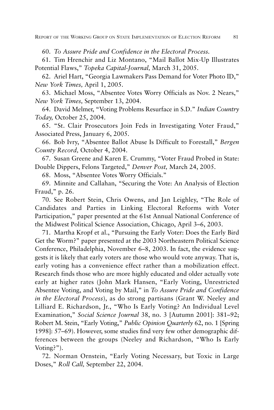60. *To Assure Pride and Confidence in the Electoral Process.*

61. Tim Hrenchir and Liz Montano, "Mail Ballot Mix-Up Illustrates Potential Flaws," *Topeka Capital-Journal,* March 31, 2005.

62. Ariel Hart, "Georgia Lawmakers Pass Demand for Voter Photo ID," *New York Times,* April 1, 2005.

63. Michael Moss, "Absentee Votes Worry Officials as Nov. 2 Nears," *New York Times,* September 13, 2004.

64. David Melmer, "Voting Problems Resurface in S.D." *Indian Country Today,* October 25, 2004.

65. "St. Clair Prosecutors Join Feds in Investigating Voter Fraud," Associated Press, January 6, 2005.

66. Bob Ivry, "Absentee Ballot Abuse Is Difficult to Forestall," *Bergen County Record,* October 4, 2004.

67. Susan Greene and Karen E. Crummy, "Voter Fraud Probed in State: Double Dippers, Felons Targeted," *Denver Post,* March 24, 2005.

68. Moss, "Absentee Votes Worry Officials."

69. Minnite and Callahan, "Securing the Vote: An Analysis of Election Fraud," p. 26.

70. See Robert Stein, Chris Owens, and Jan Leighley, "The Role of Candidates and Parties in Linking Electoral Reforms with Voter Participation," paper presented at the 61st Annual National Conference of the Midwest Political Science Association, Chicago, April 3–6, 2003.

71. Martha Kropf et al., "Pursuing the Early Voter: Does the Early Bird Get the Worm?" paper presented at the 2003 Northeastern Political Science Conference, Philadelphia, November 6–8, 2003. In fact, the evidence suggests it is likely that early voters are those who would vote anyway. That is, early voting has a convenience effect rather than a mobilization effect. Research finds those who are more highly educated and older actually vote early at higher rates (John Mark Hansen, "Early Voting, Unrestricted Absentee Voting, and Voting by Mail," in *To Assure Pride and Confidence in the Electoral Process*), as do strong partisans (Grant W. Neeley and Lilliard E. Richardson, Jr., "Who Is Early Voting? An Individual Level Examination," *Social Science Journal* 38, no. 3 [Autumn 2001]: 381–92; Robert M. Stein, "Early Voting," *Public Opinion Quarterly* 62, no. 1 [Spring 1998]: 57–69). However, some studies find very few other demographic differences between the groups (Neeley and Richardson, "Who Is Early Voting?").

72. Norman Ornstein, "Early Voting Necessary, but Toxic in Large Doses," *Roll Call,* September 22, 2004.